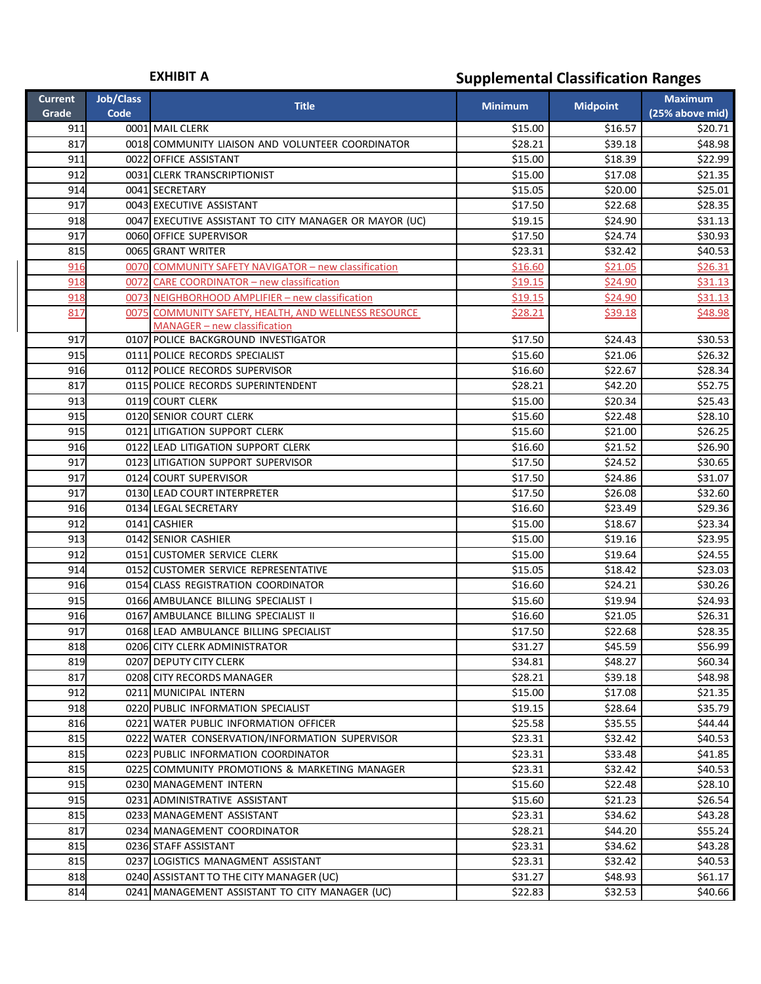# **EXHIBIT A Supplemental Classification Ranges**

| <b>Current</b><br>Grade | <b>Job/Class</b><br>Code  | <b>Title</b><br><b>Minimum</b>                         |         | <b>Midpoint</b> | <b>Maximum</b><br>(25% above mid) |
|-------------------------|---------------------------|--------------------------------------------------------|---------|-----------------|-----------------------------------|
| 911                     |                           | 0001 MAIL CLERK                                        | \$15.00 | \$16.57         | \$20.71                           |
| 817                     |                           | 0018 COMMUNITY LIAISON AND VOLUNTEER COORDINATOR       | \$28.21 | \$39.18         | \$48.98                           |
| 911                     |                           | 0022 OFFICE ASSISTANT                                  | \$15.00 | \$18.39         | \$22.99                           |
| 912                     |                           | 0031 CLERK TRANSCRIPTIONIST                            | \$15.00 | \$17.08         | \$21.35                           |
| 914                     |                           | 0041 SECRETARY                                         | \$15.05 | \$20.00         | \$25.01                           |
| 917                     |                           | 0043 EXECUTIVE ASSISTANT                               | \$17.50 | \$22.68         | \$28.35                           |
| 918                     |                           | 0047 EXECUTIVE ASSISTANT TO CITY MANAGER OR MAYOR (UC) | \$19.15 | \$24.90         | \$31.13                           |
| 917                     |                           | 0060 OFFICE SUPERVISOR                                 | \$17.50 | \$24.74         | \$30.93                           |
| 815                     |                           | 0065 GRANT WRITER                                      | \$23.31 | \$32.42         | \$40.53                           |
| 916                     |                           | 0070 COMMUNITY SAFETY NAVIGATOR - new classification   | \$16.60 | \$21.05         | \$26.31                           |
| 918                     |                           | 0072 CARE COORDINATOR - new classification             | \$19.15 | \$24.90         | \$31.13                           |
| 918                     |                           | 0073 NEIGHBORHOOD AMPLIFIER - new classification       | \$19.15 | \$24.90         | \$31.13                           |
| 817                     |                           | 0075 COMMUNITY SAFETY, HEALTH, AND WELLNESS RESOURCE   | \$28.21 | \$39.18         | \$48.98                           |
|                         |                           | MANAGER - new classification                           |         |                 |                                   |
| 917                     |                           | 0107 POLICE BACKGROUND INVESTIGATOR                    | \$17.50 | \$24.43         | \$30.53                           |
| 915                     |                           | 0111 POLICE RECORDS SPECIALIST                         | \$15.60 | \$21.06         | \$26.32                           |
| 916                     |                           | 0112 POLICE RECORDS SUPERVISOR                         | \$16.60 | \$22.67         | \$28.34                           |
| 817                     |                           | 0115 POLICE RECORDS SUPERINTENDENT                     | \$28.21 | \$42.20         | \$52.75                           |
| 913                     |                           | 0119 COURT CLERK                                       | \$15.00 | \$20.34         | \$25.43                           |
| 915                     |                           | 0120 SENIOR COURT CLERK                                | \$15.60 | \$22.48         | \$28.10                           |
| 915                     |                           | 0121 LITIGATION SUPPORT CLERK                          | \$15.60 | \$21.00         | \$26.25                           |
| 916                     |                           | 0122 LEAD LITIGATION SUPPORT CLERK                     | \$16.60 | \$21.52         | \$26.90                           |
| 917                     |                           | 0123 LITIGATION SUPPORT SUPERVISOR                     | \$17.50 | \$24.52         | \$30.65                           |
| 917                     |                           | 0124 COURT SUPERVISOR                                  | \$17.50 | \$24.86         | \$31.07                           |
| 917                     |                           | 0130 LEAD COURT INTERPRETER                            | \$17.50 | \$26.08         | \$32.60                           |
| 916                     |                           | 0134 LEGAL SECRETARY                                   | \$16.60 | \$23.49         | \$29.36                           |
| 912                     |                           | 0141 CASHIER                                           | \$15.00 | \$18.67         | \$23.34                           |
| 913                     |                           | 0142 SENIOR CASHIER                                    | \$15.00 | \$19.16         | \$23.95                           |
| 912                     |                           | 0151 CUSTOMER SERVICE CLERK                            | \$15.00 | \$19.64         | \$24.55                           |
| 914                     |                           | 0152 CUSTOMER SERVICE REPRESENTATIVE                   | \$15.05 | \$18.42         | \$23.03                           |
| 916                     |                           | 0154 CLASS REGISTRATION COORDINATOR                    | \$16.60 | \$24.21         | \$30.26                           |
| 915                     |                           | 0166 AMBULANCE BILLING SPECIALIST I                    | \$15.60 | \$19.94         | \$24.93                           |
| 916                     |                           | 0167 AMBULANCE BILLING SPECIALIST II                   | \$16.60 | \$21.05         | \$26.31                           |
| 917                     |                           | 0168 LEAD AMBULANCE BILLING SPECIALIST                 | \$17.50 | \$22.68         | \$28.35                           |
| 818                     |                           | 0206 CITY CLERK ADMINISTRATOR                          | \$31.27 | \$45.59         | \$56.99                           |
| 819                     |                           | 0207 DEPUTY CITY CLERK                                 | \$34.81 | \$48.27         | \$60.34                           |
| 817                     |                           | 0208 CITY RECORDS MANAGER                              | \$28.21 | \$39.18         | \$48.98                           |
| 912                     |                           | 0211 MUNICIPAL INTERN                                  | \$15.00 | \$17.08         | \$21.35                           |
| 918                     |                           | 0220 PUBLIC INFORMATION SPECIALIST                     | \$19.15 | \$28.64         | \$35.79                           |
| 816                     |                           | 0221 WATER PUBLIC INFORMATION OFFICER                  | \$25.58 | \$35.55         | \$44.44                           |
| 815                     |                           | 0222 WATER CONSERVATION/INFORMATION SUPERVISOR         | \$23.31 | \$32.42         | \$40.53                           |
| 815                     |                           | 0223 PUBLIC INFORMATION COORDINATOR                    | \$23.31 | \$33.48         | \$41.85                           |
| 815                     |                           | 0225 COMMUNITY PROMOTIONS & MARKETING MANAGER          | \$23.31 | \$32.42         | \$40.53                           |
| 915                     |                           | 0230 MANAGEMENT INTERN                                 | \$15.60 | \$22.48         | \$28.10                           |
| 915                     |                           | 0231 ADMINISTRATIVE ASSISTANT                          | \$15.60 | \$21.23         | \$26.54                           |
| 815                     | 0233 MANAGEMENT ASSISTANT |                                                        | \$23.31 | \$34.62         | \$43.28                           |
| 817                     |                           | 0234 MANAGEMENT COORDINATOR                            | \$28.21 | \$44.20         | \$55.24                           |
| 815                     |                           | 0236 STAFF ASSISTANT                                   | \$23.31 | \$34.62         | \$43.28                           |
| 815                     |                           | 0237 LOGISTICS MANAGMENT ASSISTANT                     | \$23.31 | \$32.42         | \$40.53                           |
| 818                     |                           | 0240 ASSISTANT TO THE CITY MANAGER (UC)                | \$31.27 | \$48.93         | \$61.17                           |
| 814                     |                           | 0241 MANAGEMENT ASSISTANT TO CITY MANAGER (UC)         | \$22.83 | \$32.53         | \$40.66                           |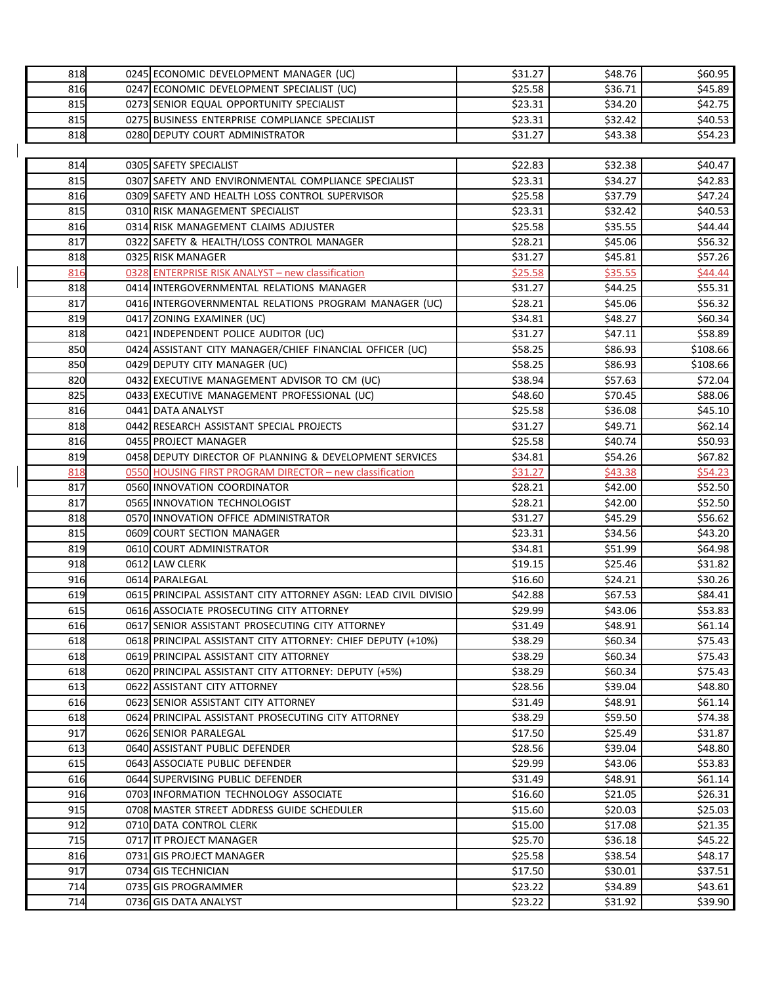| 818 | 0245 ECONOMIC DEVELOPMENT MANAGER (UC)                          | \$31.27 | \$48.76 | \$60.95  |
|-----|-----------------------------------------------------------------|---------|---------|----------|
| 816 | 0247 ECONOMIC DEVELOPMENT SPECIALIST (UC)                       | \$25.58 | \$36.71 | \$45.89  |
| 815 | 0273 SENIOR EQUAL OPPORTUNITY SPECIALIST                        | \$23.31 | \$34.20 | \$42.75  |
| 815 | 0275 BUSINESS ENTERPRISE COMPLIANCE SPECIALIST                  | \$23.31 | \$32.42 | \$40.53  |
| 818 | 0280 DEPUTY COURT ADMINISTRATOR                                 | \$31.27 | \$43.38 | \$54.23  |
|     |                                                                 |         |         |          |
| 814 | 0305 SAFETY SPECIALIST                                          | \$22.83 | \$32.38 | \$40.47  |
| 815 | 0307 SAFETY AND ENVIRONMENTAL COMPLIANCE SPECIALIST             | \$23.31 | \$34.27 | \$42.83  |
| 816 | 0309 SAFETY AND HEALTH LOSS CONTROL SUPERVISOR                  | \$25.58 | \$37.79 | \$47.24  |
| 815 | 0310 RISK MANAGEMENT SPECIALIST                                 | \$23.31 | \$32.42 | \$40.53  |
| 816 | 0314 RISK MANAGEMENT CLAIMS ADJUSTER                            | \$25.58 | \$35.55 | \$44.44  |
| 817 | 0322 SAFETY & HEALTH/LOSS CONTROL MANAGER                       | \$28.21 | \$45.06 | \$56.32  |
| 818 | 0325 RISK MANAGER                                               | \$31.27 | \$45.81 | \$57.26  |
| 816 | 0328 ENTERPRISE RISK ANALYST - new classification               | \$25.58 | \$35.55 | \$44.44  |
| 818 | 0414 INTERGOVERNMENTAL RELATIONS MANAGER                        | \$31.27 | \$44.25 | \$55.31  |
| 817 | 0416 INTERGOVERNMENTAL RELATIONS PROGRAM MANAGER (UC)           | \$28.21 | \$45.06 | \$56.32  |
| 819 | 0417 ZONING EXAMINER (UC)                                       | \$34.81 | \$48.27 | \$60.34  |
| 818 | 0421 INDEPENDENT POLICE AUDITOR (UC)                            | \$31.27 | \$47.11 | \$58.89  |
| 850 | 0424 ASSISTANT CITY MANAGER/CHIEF FINANCIAL OFFICER (UC)        | \$58.25 | \$86.93 | \$108.66 |
| 850 | 0429 DEPUTY CITY MANAGER (UC)                                   | \$58.25 | \$86.93 | \$108.66 |
| 820 | 0432 EXECUTIVE MANAGEMENT ADVISOR TO CM (UC)                    | \$38.94 | \$57.63 | \$72.04  |
| 825 | 0433 EXECUTIVE MANAGEMENT PROFESSIONAL (UC)                     | \$48.60 | \$70.45 | \$88.06  |
| 816 | 0441 DATA ANALYST                                               | \$25.58 | \$36.08 | \$45.10  |
| 818 | 0442 RESEARCH ASSISTANT SPECIAL PROJECTS                        | \$31.27 | \$49.71 | \$62.14  |
| 816 | 0455 PROJECT MANAGER                                            | \$25.58 | \$40.74 | \$50.93  |
| 819 | 0458 DEPUTY DIRECTOR OF PLANNING & DEVELOPMENT SERVICES         | \$34.81 | \$54.26 | \$67.82  |
| 818 | 0550 HOUSING FIRST PROGRAM DIRECTOR - new classification        | \$31.27 | \$43.38 | \$54.23  |
| 817 | 0560 INNOVATION COORDINATOR                                     | \$28.21 | \$42.00 | \$52.50  |
| 817 | 0565 INNOVATION TECHNOLOGIST                                    | \$28.21 | \$42.00 | \$52.50  |
| 818 | 0570 INNOVATION OFFICE ADMINISTRATOR                            | \$31.27 | \$45.29 | \$56.62  |
| 815 | 0609 COURT SECTION MANAGER                                      | \$23.31 | \$34.56 | \$43.20  |
| 819 | 0610 COURT ADMINISTRATOR                                        | \$34.81 | \$51.99 | \$64.98  |
| 918 | 0612 LAW CLERK                                                  | \$19.15 | \$25.46 | \$31.82  |
| 916 | 0614 PARALEGAL                                                  | \$16.60 | \$24.21 | \$30.26  |
| 619 | 0615 PRINCIPAL ASSISTANT CITY ATTORNEY ASGN: LEAD CIVIL DIVISIO | \$42.88 | \$67.53 | \$84.41  |
| 615 | 0616 ASSOCIATE PROSECUTING CITY ATTORNEY                        | \$29.99 | \$43.06 | \$53.83  |
| 616 | 0617 SENIOR ASSISTANT PROSECUTING CITY ATTORNEY                 | \$31.49 | \$48.91 | \$61.14  |
| 618 | 0618 PRINCIPAL ASSISTANT CITY ATTORNEY: CHIEF DEPUTY (+10%)     | \$38.29 | \$60.34 | \$75.43  |
| 618 | 0619 PRINCIPAL ASSISTANT CITY ATTORNEY                          | \$38.29 | \$60.34 | \$75.43  |
| 618 | 0620 PRINCIPAL ASSISTANT CITY ATTORNEY: DEPUTY (+5%)            | \$38.29 | \$60.34 | \$75.43  |
| 613 | 0622 ASSISTANT CITY ATTORNEY                                    | \$28.56 | \$39.04 | \$48.80  |
| 616 | 0623 SENIOR ASSISTANT CITY ATTORNEY                             | \$31.49 | \$48.91 | \$61.14  |
| 618 | 0624 PRINCIPAL ASSISTANT PROSECUTING CITY ATTORNEY              | \$38.29 | \$59.50 | \$74.38  |
| 917 | 0626 SENIOR PARALEGAL                                           | \$17.50 | \$25.49 | \$31.87  |
| 613 | 0640 ASSISTANT PUBLIC DEFENDER                                  | \$28.56 | \$39.04 | \$48.80  |
| 615 | 0643 ASSOCIATE PUBLIC DEFENDER                                  | \$29.99 | \$43.06 | \$53.83  |
| 616 | 0644 SUPERVISING PUBLIC DEFENDER                                | \$31.49 | \$48.91 | \$61.14  |
| 916 | 0703 INFORMATION TECHNOLOGY ASSOCIATE                           | \$16.60 | \$21.05 | \$26.31  |
| 915 | 0708 MASTER STREET ADDRESS GUIDE SCHEDULER                      | \$15.60 | \$20.03 | \$25.03  |
| 912 | 0710 DATA CONTROL CLERK                                         | \$15.00 | \$17.08 | \$21.35  |
| 715 | 0717 IT PROJECT MANAGER                                         | \$25.70 | \$36.18 | \$45.22  |
| 816 | 0731 GIS PROJECT MANAGER                                        | \$25.58 | \$38.54 | \$48.17  |
| 917 | 0734 GIS TECHNICIAN                                             | \$17.50 | \$30.01 | \$37.51  |
| 714 | 0735 GIS PROGRAMMER                                             | \$23.22 | \$34.89 | \$43.61  |
| 714 | 0736 GIS DATA ANALYST                                           | \$23.22 | \$31.92 | \$39.90  |

 $\overline{\phantom{a}}$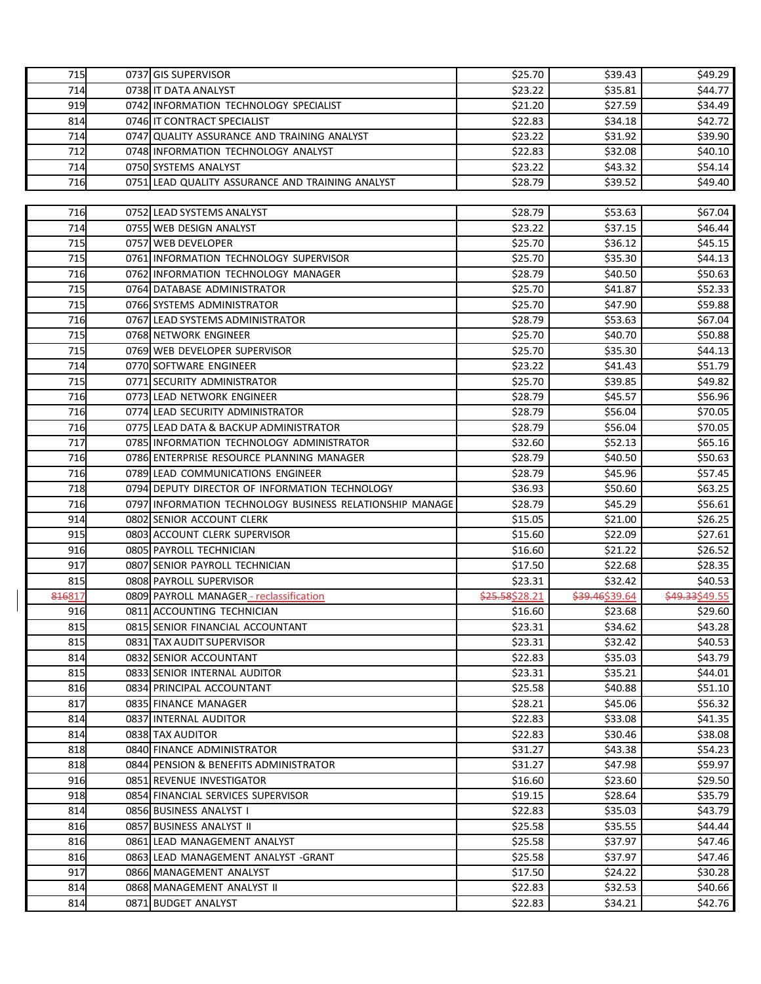| 715   | 0737 GIS SUPERVISOR                                      | \$25.70        | \$39.43        | \$49.29        |
|-------|----------------------------------------------------------|----------------|----------------|----------------|
| 714   | 0738 IT DATA ANALYST                                     | \$23.22        | \$35.81        | \$44.77        |
| 919   | 0742 INFORMATION TECHNOLOGY SPECIALIST                   | \$21.20        | \$27.59        | \$34.49        |
| 814   | 0746 IT CONTRACT SPECIALIST                              | \$22.83        | \$34.18        | \$42.72        |
| 714   | 0747 QUALITY ASSURANCE AND TRAINING ANALYST              | \$23.22        | \$31.92        | \$39.90        |
| 712   | 0748 INFORMATION TECHNOLOGY ANALYST                      | \$22.83        | \$32.08        | \$40.10        |
| 714   | 0750 SYSTEMS ANALYST                                     | \$23.22        | \$43.32        | \$54.14        |
| 716   | 0751 LEAD QUALITY ASSURANCE AND TRAINING ANALYST         | \$28.79        | \$39.52        | \$49.40        |
|       |                                                          |                |                |                |
| 716   | 0752 LEAD SYSTEMS ANALYST                                | \$28.79        | \$53.63        | \$67.04        |
| 714   | 0755 WEB DESIGN ANALYST                                  | \$23.22        | \$37.15        | \$46.44        |
| 715   | 0757 WEB DEVELOPER                                       | \$25.70        | \$36.12        | \$45.15        |
| 715   | 0761 INFORMATION TECHNOLOGY SUPERVISOR                   | \$25.70        | \$35.30        | \$44.13        |
| 716   | 0762 INFORMATION TECHNOLOGY MANAGER                      | \$28.79        | \$40.50        | \$50.63        |
| 715   | 0764 DATABASE ADMINISTRATOR                              | \$25.70        | \$41.87        | \$52.33        |
| 715   | 0766 SYSTEMS ADMINISTRATOR                               | \$25.70        | \$47.90        | \$59.88        |
| 716   | 0767 LEAD SYSTEMS ADMINISTRATOR                          | \$28.79        | \$53.63        | \$67.04        |
| 715   | 0768 NETWORK ENGINEER                                    | \$25.70        | \$40.70        | \$50.88        |
| 715   | 0769 WEB DEVELOPER SUPERVISOR                            | \$25.70        | \$35.30        | \$44.13        |
| 714   | 0770 SOFTWARE ENGINEER                                   | \$23.22        | \$41.43        | \$51.79        |
| 715   | 0771 SECURITY ADMINISTRATOR                              | \$25.70        | \$39.85        | \$49.82        |
| 716   | 0773 LEAD NETWORK ENGINEER                               | \$28.79        | \$45.57        | \$56.96        |
| 716   | 0774 LEAD SECURITY ADMINISTRATOR                         | \$28.79        | \$56.04        | \$70.05        |
| 716   | 0775 LEAD DATA & BACKUP ADMINISTRATOR                    | \$28.79        | \$56.04        | \$70.05        |
| 717   | 0785 INFORMATION TECHNOLOGY ADMINISTRATOR                | \$32.60        | \$52.13        | \$65.16        |
| 716   | 0786 ENTERPRISE RESOURCE PLANNING MANAGER                | \$28.79        | \$40.50        | \$50.63        |
| 716   | 0789 LEAD COMMUNICATIONS ENGINEER                        | \$28.79        | \$45.96        | \$57.45        |
| 718   | 0794 DEPUTY DIRECTOR OF INFORMATION TECHNOLOGY           | \$36.93        | \$50.60        | \$63.25        |
| 716   | 0797 INFORMATION TECHNOLOGY BUSINESS RELATIONSHIP MANAGE | \$28.79        | \$45.29        | \$56.61        |
| 914   | 0802 SENIOR ACCOUNT CLERK                                | \$15.05        | \$21.00        | \$26.25        |
| 915   | 0803 ACCOUNT CLERK SUPERVISOR                            | \$15.60        | \$22.09        | \$27.61        |
| 916   | 0805 PAYROLL TECHNICIAN                                  | \$16.60        | \$21.22        | \$26.52        |
| 917   | 0807 SENIOR PAYROLL TECHNICIAN                           | \$17.50        | \$22.68        | \$28.35        |
| 815   | 0808 PAYROLL SUPERVISOR                                  | \$23.31        | \$32.42        | \$40.53        |
| 81681 | 0809 PAYROLL MANAGER - reclassification                  | \$25.58\$28.21 | \$39.46\$39.64 | \$49.33\$49.55 |
| 916   | 0811 ACCOUNTING TECHNICIAN                               | \$16.60        | \$23.68        | \$29.60        |
| 815   | 0815 SENIOR FINANCIAL ACCOUNTANT                         | \$23.31        | \$34.62        | \$43.28        |
| 815   | 0831 TAX AUDIT SUPERVISOR                                | \$23.31        | \$32.42        | \$40.53        |
| 814   | 0832 SENIOR ACCOUNTANT                                   | \$22.83        | \$35.03        | \$43.79        |
| 815   | 0833 SENIOR INTERNAL AUDITOR                             | \$23.31        | \$35.21        | \$44.01        |
| 816   | 0834 PRINCIPAL ACCOUNTANT                                | \$25.58        | \$40.88        | \$51.10        |
| 817   | 0835 FINANCE MANAGER                                     | \$28.21        | \$45.06        | \$56.32        |
| 814   | 0837 INTERNAL AUDITOR                                    | \$22.83        | \$33.08        | \$41.35        |
| 814   | 0838 TAX AUDITOR                                         | \$22.83        | \$30.46        | \$38.08        |
| 818   | 0840 FINANCE ADMINISTRATOR                               | \$31.27        | \$43.38        | \$54.23        |
| 818   | 0844 PENSION & BENEFITS ADMINISTRATOR                    | \$31.27        | \$47.98        | \$59.97        |
| 916   | 0851 REVENUE INVESTIGATOR                                | \$16.60        | \$23.60        | \$29.50        |
| 918   | 0854 FINANCIAL SERVICES SUPERVISOR                       | \$19.15        | \$28.64        | \$35.79        |
| 814   | 0856 BUSINESS ANALYST I                                  | \$22.83        | \$35.03        | \$43.79        |
| 816   | 0857 BUSINESS ANALYST II                                 | \$25.58        | \$35.55        | \$44.44        |
| 816   | 0861 LEAD MANAGEMENT ANALYST                             | \$25.58        | \$37.97        | \$47.46        |
| 816   | 0863 LEAD MANAGEMENT ANALYST -GRANT                      | \$25.58        | \$37.97        | \$47.46        |
| 917   | 0866 MANAGEMENT ANALYST                                  | \$17.50        | \$24.22        | \$30.28        |
| 814   | 0868 MANAGEMENT ANALYST II                               | \$22.83        | \$32.53        | \$40.66        |
| 814   | 0871 BUDGET ANALYST                                      | \$22.83        | \$34.21        | \$42.76        |
|       |                                                          |                |                |                |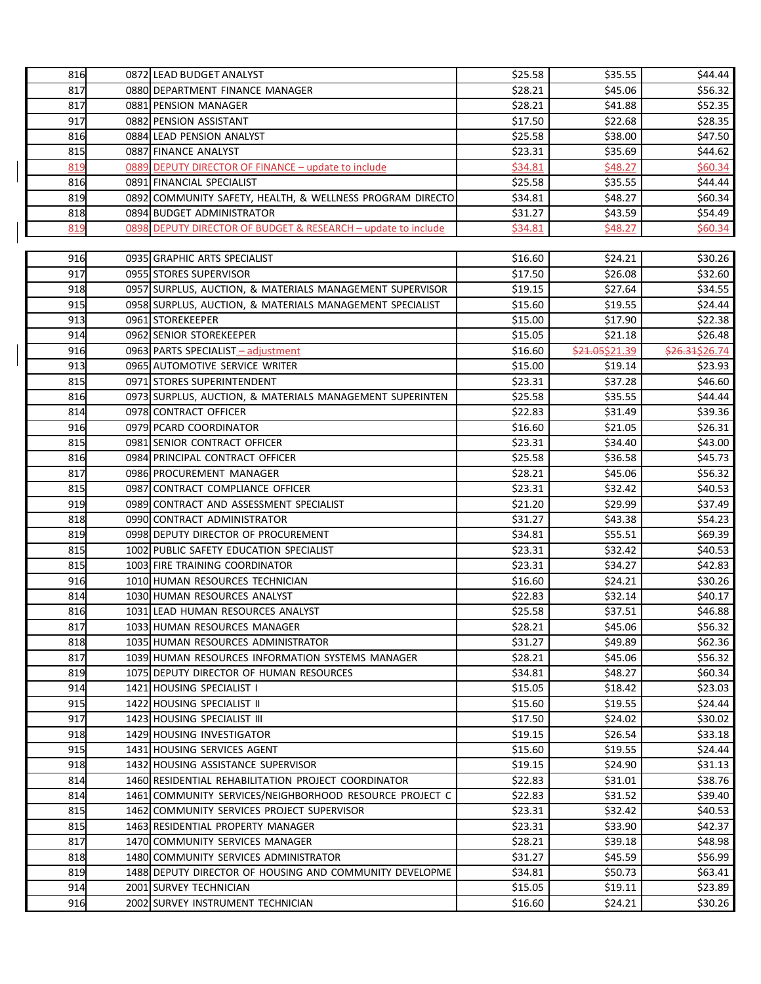| 816 | 0872 LEAD BUDGET ANALYST                                      | \$25.58 | \$35.55        | \$44.44        |
|-----|---------------------------------------------------------------|---------|----------------|----------------|
| 817 | 0880 DEPARTMENT FINANCE MANAGER                               | \$28.21 | \$45.06        | \$56.32        |
| 817 | 0881 PENSION MANAGER                                          | \$28.21 | \$41.88        | \$52.35        |
| 917 | 0882 PENSION ASSISTANT                                        | \$17.50 | \$22.68        | \$28.35        |
| 816 | 0884 LEAD PENSION ANALYST                                     | \$25.58 | \$38.00        | \$47.50        |
| 815 | 0887 FINANCE ANALYST                                          | \$23.31 | \$35.69        | \$44.62        |
| 819 | 0889 DEPUTY DIRECTOR OF FINANCE - update to include           | \$34.81 | \$48.27        | \$60.34        |
| 816 | 0891 FINANCIAL SPECIALIST                                     | \$25.58 | \$35.55        | \$44.44        |
| 819 | 0892 COMMUNITY SAFETY, HEALTH, & WELLNESS PROGRAM DIRECTO     | \$34.81 | \$48.27        | \$60.34        |
| 818 | 0894 BUDGET ADMINISTRATOR                                     | \$31.27 | \$43.59        | \$54.49        |
| 819 | 0898 DEPUTY DIRECTOR OF BUDGET & RESEARCH - update to include | \$34.81 | \$48.27        | \$60.34        |
|     |                                                               |         |                |                |
| 916 | 0935 GRAPHIC ARTS SPECIALIST                                  | \$16.60 | \$24.21        | \$30.26        |
| 917 | 0955 STORES SUPERVISOR                                        | \$17.50 | \$26.08        | \$32.60        |
| 918 | 0957 SURPLUS, AUCTION, & MATERIALS MANAGEMENT SUPERVISOR      | \$19.15 | \$27.64        | \$34.55        |
| 915 | 0958 SURPLUS, AUCTION, & MATERIALS MANAGEMENT SPECIALIST      | \$15.60 | \$19.55        | \$24.44        |
| 913 | 0961 STOREKEEPER                                              | \$15.00 | \$17.90        | \$22.38        |
| 914 | 0962 SENIOR STOREKEEPER                                       | \$15.05 | \$21.18        | \$26.48        |
| 916 | 0963 PARTS SPECIALIST - adjustment                            | \$16.60 | \$21.05\$21.39 | \$26.31\$26.74 |
| 913 | 0965 AUTOMOTIVE SERVICE WRITER                                | \$15.00 | \$19.14        | \$23.93        |
| 815 | 0971 STORES SUPERINTENDENT                                    | \$23.31 | \$37.28        | \$46.60        |
| 816 | 0973 SURPLUS, AUCTION, & MATERIALS MANAGEMENT SUPERINTEN      | \$25.58 | \$35.55        | \$44.44        |
| 814 | 0978 CONTRACT OFFICER                                         | \$22.83 | \$31.49        | \$39.36        |
| 916 | 0979 PCARD COORDINATOR                                        | \$16.60 | \$21.05        | \$26.31        |
| 815 | 0981 SENIOR CONTRACT OFFICER                                  | \$23.31 | \$34.40        | \$43.00        |
| 816 | 0984 PRINCIPAL CONTRACT OFFICER                               | \$25.58 | \$36.58        | \$45.73        |
| 817 | 0986 PROCUREMENT MANAGER                                      | \$28.21 | \$45.06        | \$56.32        |
| 815 | 0987 CONTRACT COMPLIANCE OFFICER                              | \$23.31 | \$32.42        | \$40.53        |
| 919 | 0989 CONTRACT AND ASSESSMENT SPECIALIST                       | \$21.20 | \$29.99        | \$37.49        |
| 818 | 0990 CONTRACT ADMINISTRATOR                                   | \$31.27 | \$43.38        | \$54.23        |
| 819 | 0998 DEPUTY DIRECTOR OF PROCUREMENT                           | \$34.81 | \$55.51        | \$69.39        |
| 815 | 1002 PUBLIC SAFETY EDUCATION SPECIALIST                       | \$23.31 | \$32.42        | \$40.53        |
| 815 | 1003 FIRE TRAINING COORDINATOR                                | \$23.31 | \$34.27        | \$42.83        |
| 916 | 1010 HUMAN RESOURCES TECHNICIAN                               | \$16.60 | \$24.21        | \$30.26        |
| 814 | 1030 HUMAN RESOURCES ANALYST                                  | \$22.83 | \$32.14        | \$40.17        |
| 816 | 1031 LEAD HUMAN RESOURCES ANALYST                             | \$25.58 | \$37.51        | \$46.88        |
| 817 | 1033 HUMAN RESOURCES MANAGER                                  | \$28.21 | \$45.06        | 556.32         |
| 818 | 1035 HUMAN RESOURCES ADMINISTRATOR                            | \$31.27 | \$49.89        | \$62.36        |
| 817 | 1039 HUMAN RESOURCES INFORMATION SYSTEMS MANAGER              | \$28.21 | \$45.06        | \$56.32        |
| 819 | 1075 DEPUTY DIRECTOR OF HUMAN RESOURCES                       | \$34.81 | \$48.27        | \$60.34        |
| 914 | 1421 HOUSING SPECIALIST I                                     | \$15.05 | \$18.42        | \$23.03        |
| 915 | 1422 HOUSING SPECIALIST II                                    | \$15.60 | \$19.55        | \$24.44        |
| 917 | 1423 HOUSING SPECIALIST III                                   | \$17.50 | \$24.02        | \$30.02        |
| 918 | 1429 HOUSING INVESTIGATOR                                     | \$19.15 | \$26.54        | \$33.18        |
| 915 | 1431 HOUSING SERVICES AGENT                                   | \$15.60 | \$19.55        | \$24.44        |
| 918 | 1432 HOUSING ASSISTANCE SUPERVISOR                            | \$19.15 | \$24.90        | \$31.13        |
| 814 | 1460 RESIDENTIAL REHABILITATION PROJECT COORDINATOR           | \$22.83 | \$31.01        | \$38.76        |
| 814 | 1461 COMMUNITY SERVICES/NEIGHBORHOOD RESOURCE PROJECT C       | \$22.83 | \$31.52        | \$39.40        |
| 815 | 1462 COMMUNITY SERVICES PROJECT SUPERVISOR                    | \$23.31 | \$32.42        | \$40.53        |
| 815 | 1463 RESIDENTIAL PROPERTY MANAGER                             | \$23.31 | \$33.90        | \$42.37        |
| 817 | 1470 COMMUNITY SERVICES MANAGER                               | \$28.21 | \$39.18        | \$48.98        |
| 818 | 1480 COMMUNITY SERVICES ADMINISTRATOR                         | \$31.27 | \$45.59        | \$56.99        |
| 819 | 1488 DEPUTY DIRECTOR OF HOUSING AND COMMUNITY DEVELOPME       | \$34.81 | \$50.73        | \$63.41        |
| 914 | 2001 SURVEY TECHNICIAN                                        | \$15.05 | \$19.11        | \$23.89        |
| 916 | 2002 SURVEY INSTRUMENT TECHNICIAN                             | \$16.60 | \$24.21        | \$30.26        |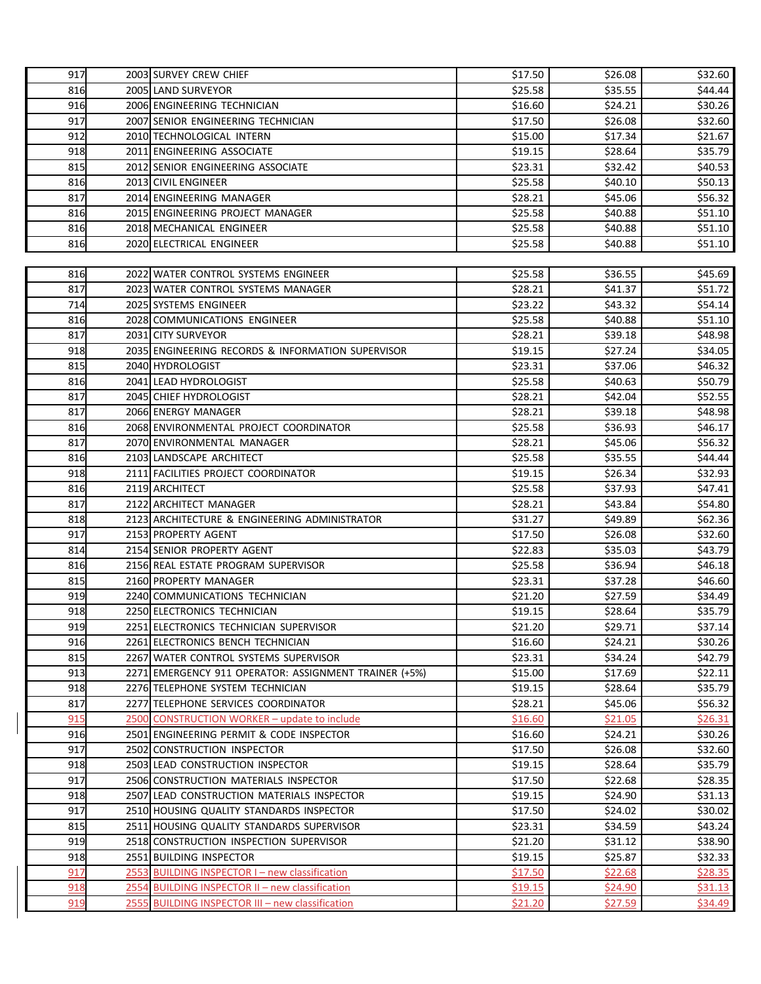| 917 | 2003 SURVEY CREW CHIEF                                | \$17.50 | \$26.08 | \$32.60        |
|-----|-------------------------------------------------------|---------|---------|----------------|
| 816 | 2005 LAND SURVEYOR                                    | \$25.58 | \$35.55 | \$44.44        |
| 916 | 2006 ENGINEERING TECHNICIAN                           | \$16.60 | \$24.21 | \$30.26        |
| 917 | 2007 SENIOR ENGINEERING TECHNICIAN                    | \$17.50 | \$26.08 | \$32.60        |
| 912 | 2010 TECHNOLOGICAL INTERN                             | \$15.00 | \$17.34 | \$21.67        |
| 918 | 2011 ENGINEERING ASSOCIATE                            | \$19.15 | \$28.64 | \$35.79        |
| 815 | 2012 SENIOR ENGINEERING ASSOCIATE                     | \$23.31 | \$32.42 | \$40.53        |
| 816 | 2013 CIVIL ENGINEER                                   | \$25.58 | \$40.10 | \$50.13        |
| 817 | 2014 ENGINEERING MANAGER                              | \$28.21 | \$45.06 | \$56.32        |
| 816 | 2015 ENGINEERING PROJECT MANAGER                      | \$25.58 | \$40.88 | \$51.10        |
| 816 | 2018 MECHANICAL ENGINEER                              | \$25.58 | \$40.88 | \$51.10        |
| 816 | 2020 ELECTRICAL ENGINEER                              | \$25.58 | \$40.88 | \$51.10        |
|     |                                                       |         |         |                |
| 816 | 2022 WATER CONTROL SYSTEMS ENGINEER                   | \$25.58 | \$36.55 | \$45.69        |
| 817 | 2023 WATER CONTROL SYSTEMS MANAGER                    | \$28.21 | \$41.37 | \$51.72        |
| 714 | 2025 SYSTEMS ENGINEER                                 | \$23.22 | \$43.32 | \$54.14        |
| 816 | 2028 COMMUNICATIONS ENGINEER                          | \$25.58 | \$40.88 | \$51.10        |
| 817 | 2031 CITY SURVEYOR                                    | \$28.21 | \$39.18 | \$48.98        |
| 918 | 2035 ENGINEERING RECORDS & INFORMATION SUPERVISOR     | \$19.15 | \$27.24 | \$34.05        |
| 815 | 2040 HYDROLOGIST                                      | \$23.31 | \$37.06 | \$46.32        |
| 816 | 2041 LEAD HYDROLOGIST                                 | \$25.58 | \$40.63 | \$50.79        |
| 817 | 2045 CHIEF HYDROLOGIST                                | \$28.21 | \$42.04 | \$52.55        |
| 817 | 2066 ENERGY MANAGER                                   | \$28.21 | \$39.18 | \$48.98        |
| 816 | 2068 ENVIRONMENTAL PROJECT COORDINATOR                | \$25.58 | \$36.93 | \$46.17        |
| 817 | 2070 ENVIRONMENTAL MANAGER                            | \$28.21 | \$45.06 | \$56.32        |
| 816 | 2103 LANDSCAPE ARCHITECT                              | \$25.58 | \$35.55 | \$44.44        |
| 918 | 2111 FACILITIES PROJECT COORDINATOR                   | \$19.15 | \$26.34 | \$32.93        |
| 816 | 2119 ARCHITECT                                        | \$25.58 | \$37.93 | \$47.41        |
| 817 | 2122 ARCHITECT MANAGER                                | \$28.21 | \$43.84 | \$54.80        |
| 818 | 2123 ARCHITECTURE & ENGINEERING ADMINISTRATOR         | \$31.27 | \$49.89 | \$62.36        |
| 917 | 2153 PROPERTY AGENT                                   | \$17.50 | \$26.08 | \$32.60        |
| 814 | 2154 SENIOR PROPERTY AGENT                            | \$22.83 | \$35.03 | \$43.79        |
| 816 | 2156 REAL ESTATE PROGRAM SUPERVISOR                   | \$25.58 | \$36.94 | \$46.18        |
| 815 | 2160 PROPERTY MANAGER                                 | \$23.31 | \$37.28 | \$46.60        |
| 919 | 2240 COMMUNICATIONS TECHNICIAN                        | \$21.20 | \$27.59 | \$34.49        |
| 918 | 2250 ELECTRONICS TECHNICIAN                           | \$19.15 | \$28.64 | \$35.79        |
| 919 | 2251 ELECTRONICS TECHNICIAN SUPERVISOR                | \$21.20 | \$29.71 | \$37.14        |
| 916 | 2261 ELECTRONICS BENCH TECHNICIAN                     | \$16.60 | \$24.21 | \$30.26        |
| 815 | 2267 WATER CONTROL SYSTEMS SUPERVISOR                 | \$23.31 | \$34.24 | \$42.79        |
| 913 | 2271 EMERGENCY 911 OPERATOR: ASSIGNMENT TRAINER (+5%) | \$15.00 | \$17.69 | \$22.11        |
| 918 | 2276 TELEPHONE SYSTEM TECHNICIAN                      | \$19.15 | \$28.64 | \$35.79        |
| 817 | 2277 TELEPHONE SERVICES COORDINATOR                   | \$28.21 | \$45.06 | \$56.32        |
| 915 | 2500 CONSTRUCTION WORKER - update to include          | \$16.60 | \$21.05 | \$26.31        |
| 916 | 2501 ENGINEERING PERMIT & CODE INSPECTOR              | \$16.60 | \$24.21 | \$30.26        |
| 917 | 2502 CONSTRUCTION INSPECTOR                           | \$17.50 | \$26.08 | \$32.60        |
| 918 | 2503 LEAD CONSTRUCTION INSPECTOR                      | \$19.15 | \$28.64 | \$35.79        |
| 917 | 2506 CONSTRUCTION MATERIALS INSPECTOR                 | \$17.50 | \$22.68 | \$28.35        |
| 918 | 2507 LEAD CONSTRUCTION MATERIALS INSPECTOR            | \$19.15 | \$24.90 | \$31.13        |
| 917 | 2510 HOUSING QUALITY STANDARDS INSPECTOR              | \$17.50 | \$24.02 | \$30.02        |
| 815 | 2511 HOUSING QUALITY STANDARDS SUPERVISOR             | \$23.31 | \$34.59 | \$43.24        |
| 919 | 2518 CONSTRUCTION INSPECTION SUPERVISOR               | \$21.20 | \$31.12 | \$38.90        |
| 918 | 2551 BUILDING INSPECTOR                               | \$19.15 | \$25.87 | \$32.33        |
| 917 | 2553 BUILDING INSPECTOR I - new classification        | \$17.50 | \$22.68 | \$28.35        |
| 918 | 2554 BUILDING INSPECTOR II - new classification       | \$19.15 | \$24.90 | \$31.13        |
| 919 | 2555 BUILDING INSPECTOR III - new classification      | \$21.20 | \$27.59 | <u>\$34.49</u> |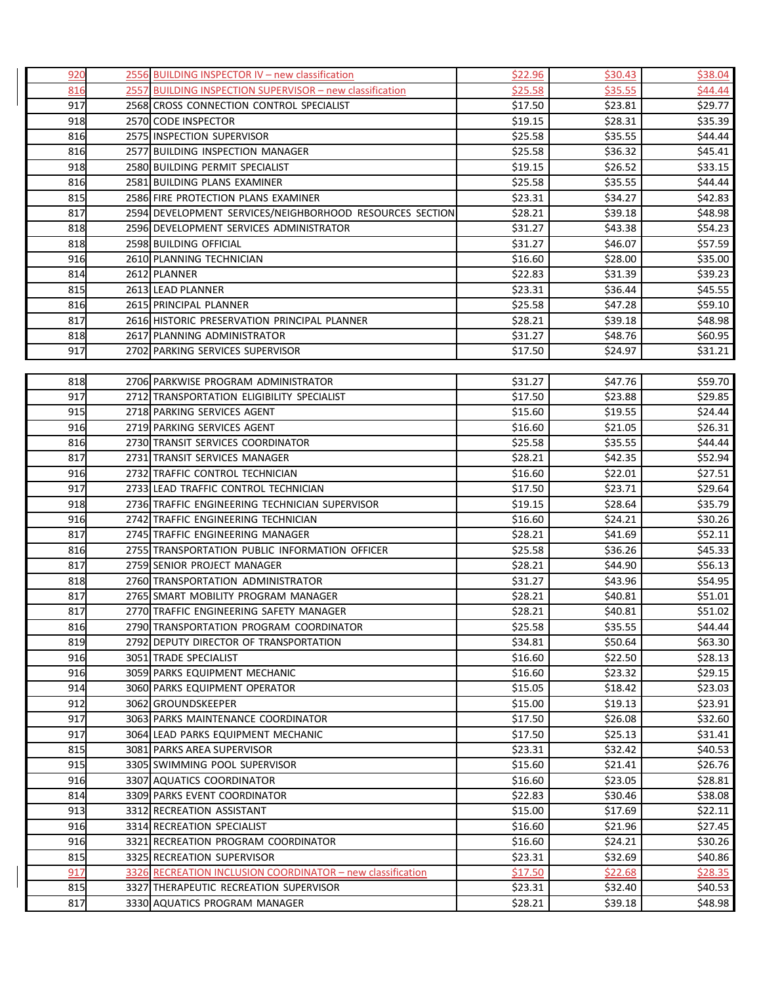| 920 | 2556 BUILDING INSPECTOR IV - new classification            | \$22.96 | \$30.43 | \$38.04 |
|-----|------------------------------------------------------------|---------|---------|---------|
| 816 | 2557 BUILDING INSPECTION SUPERVISOR - new classification   | \$25.58 | \$35.55 | \$44.44 |
| 917 | 2568 CROSS CONNECTION CONTROL SPECIALIST                   | \$17.50 | \$23.81 | \$29.77 |
| 918 | 2570 CODE INSPECTOR                                        | \$19.15 | \$28.31 | \$35.39 |
| 816 | 2575 INSPECTION SUPERVISOR                                 | \$25.58 | \$35.55 | \$44.44 |
| 816 | 2577 BUILDING INSPECTION MANAGER                           | \$25.58 | \$36.32 | \$45.41 |
| 918 | 2580 BUILDING PERMIT SPECIALIST                            | \$19.15 | \$26.52 | \$33.15 |
| 816 | 2581 BUILDING PLANS EXAMINER                               | \$25.58 | \$35.55 | \$44.44 |
| 815 | 2586 FIRE PROTECTION PLANS EXAMINER                        | \$23.31 | \$34.27 | \$42.83 |
| 817 | 2594 DEVELOPMENT SERVICES/NEIGHBORHOOD RESOURCES SECTION   | \$28.21 | \$39.18 | \$48.98 |
| 818 | 2596 DEVELOPMENT SERVICES ADMINISTRATOR                    | \$31.27 | \$43.38 | \$54.23 |
| 818 | 2598 BUILDING OFFICIAL                                     | \$31.27 | \$46.07 | \$57.59 |
| 916 | 2610 PLANNING TECHNICIAN                                   | \$16.60 | \$28.00 | \$35.00 |
| 814 | 2612 PLANNER                                               | \$22.83 | \$31.39 | \$39.23 |
| 815 | 2613 LEAD PLANNER                                          | \$23.31 | \$36.44 | \$45.55 |
| 816 | 2615 PRINCIPAL PLANNER                                     | \$25.58 | \$47.28 | \$59.10 |
| 817 | 2616 HISTORIC PRESERVATION PRINCIPAL PLANNER               | \$28.21 | \$39.18 | \$48.98 |
| 818 | 2617 PLANNING ADMINISTRATOR                                | \$31.27 | \$48.76 | \$60.95 |
| 917 | 2702 PARKING SERVICES SUPERVISOR                           | \$17.50 | \$24.97 | \$31.21 |
|     |                                                            |         |         |         |
| 818 | 2706 PARKWISE PROGRAM ADMINISTRATOR                        | \$31.27 | \$47.76 | \$59.70 |
| 917 | 2712 TRANSPORTATION ELIGIBILITY SPECIALIST                 | \$17.50 | \$23.88 | \$29.85 |
| 915 | 2718 PARKING SERVICES AGENT                                | \$15.60 | \$19.55 | \$24.44 |
| 916 | 2719 PARKING SERVICES AGENT                                | \$16.60 | \$21.05 | \$26.31 |
| 816 | 2730 TRANSIT SERVICES COORDINATOR                          | \$25.58 | \$35.55 | \$44.44 |
| 817 | 2731 TRANSIT SERVICES MANAGER                              | \$28.21 | \$42.35 | \$52.94 |
| 916 | 2732 TRAFFIC CONTROL TECHNICIAN                            | \$16.60 | \$22.01 | \$27.51 |
| 917 | 2733 LEAD TRAFFIC CONTROL TECHNICIAN                       | \$17.50 | \$23.71 | \$29.64 |
| 918 | 2736 TRAFFIC ENGINEERING TECHNICIAN SUPERVISOR             | \$19.15 | \$28.64 | \$35.79 |
| 916 | 2742 TRAFFIC ENGINEERING TECHNICIAN                        | \$16.60 | \$24.21 | \$30.26 |
| 817 | 2745 TRAFFIC ENGINEERING MANAGER                           | \$28.21 | \$41.69 | \$52.11 |
| 816 | 2755 TRANSPORTATION PUBLIC INFORMATION OFFICER             | \$25.58 | \$36.26 | \$45.33 |
| 817 | 2759 SENIOR PROJECT MANAGER                                | \$28.21 | \$44.90 | \$56.13 |
| 818 | 2760 TRANSPORTATION ADMINISTRATOR                          | \$31.27 | \$43.96 | \$54.95 |
| 817 | 2765 SMART MOBILITY PROGRAM MANAGER                        | \$28.21 | \$40.81 | \$51.01 |
| 817 | 2770 TRAFFIC ENGINEERING SAFETY MANAGER                    | \$28.21 | \$40.81 | \$51.02 |
| 816 | 2790 TRANSPORTATION PROGRAM COORDINATOR                    | \$25.58 | \$35.55 | \$44.44 |
| 819 | 2792 DEPUTY DIRECTOR OF TRANSPORTATION                     | \$34.81 | \$50.64 | \$63.30 |
| 916 | 3051 TRADE SPECIALIST                                      | \$16.60 | \$22.50 | \$28.13 |
| 916 | 3059 PARKS EQUIPMENT MECHANIC                              | \$16.60 | \$23.32 | \$29.15 |
| 914 | 3060 PARKS EQUIPMENT OPERATOR                              | \$15.05 | \$18.42 | \$23.03 |
| 912 | 3062 GROUNDSKEEPER                                         | \$15.00 | \$19.13 | \$23.91 |
| 917 | 3063 PARKS MAINTENANCE COORDINATOR                         | \$17.50 | \$26.08 | \$32.60 |
| 917 | 3064 LEAD PARKS EQUIPMENT MECHANIC                         | \$17.50 | \$25.13 | \$31.41 |
| 815 | 3081 PARKS AREA SUPERVISOR                                 | \$23.31 | \$32.42 | \$40.53 |
| 915 | 3305 SWIMMING POOL SUPERVISOR                              | \$15.60 | \$21.41 | \$26.76 |
| 916 | 3307 AQUATICS COORDINATOR                                  | \$16.60 | \$23.05 | \$28.81 |
| 814 | 3309 PARKS EVENT COORDINATOR                               | \$22.83 | \$30.46 | \$38.08 |
| 913 | 3312 RECREATION ASSISTANT                                  | \$15.00 | \$17.69 | \$22.11 |
| 916 | 3314 RECREATION SPECIALIST                                 | \$16.60 | \$21.96 | \$27.45 |
| 916 | 3321 RECREATION PROGRAM COORDINATOR                        | \$16.60 | \$24.21 | \$30.26 |
| 815 | 3325 RECREATION SUPERVISOR                                 | \$23.31 | \$32.69 | \$40.86 |
| 917 | 3326 RECREATION INCLUSION COORDINATOR - new classification | \$17.50 | \$22.68 | \$28.35 |
| 815 | 3327 THERAPEUTIC RECREATION SUPERVISOR                     | \$23.31 | \$32.40 | \$40.53 |
| 817 | 3330 AQUATICS PROGRAM MANAGER                              | \$28.21 | \$39.18 | \$48.98 |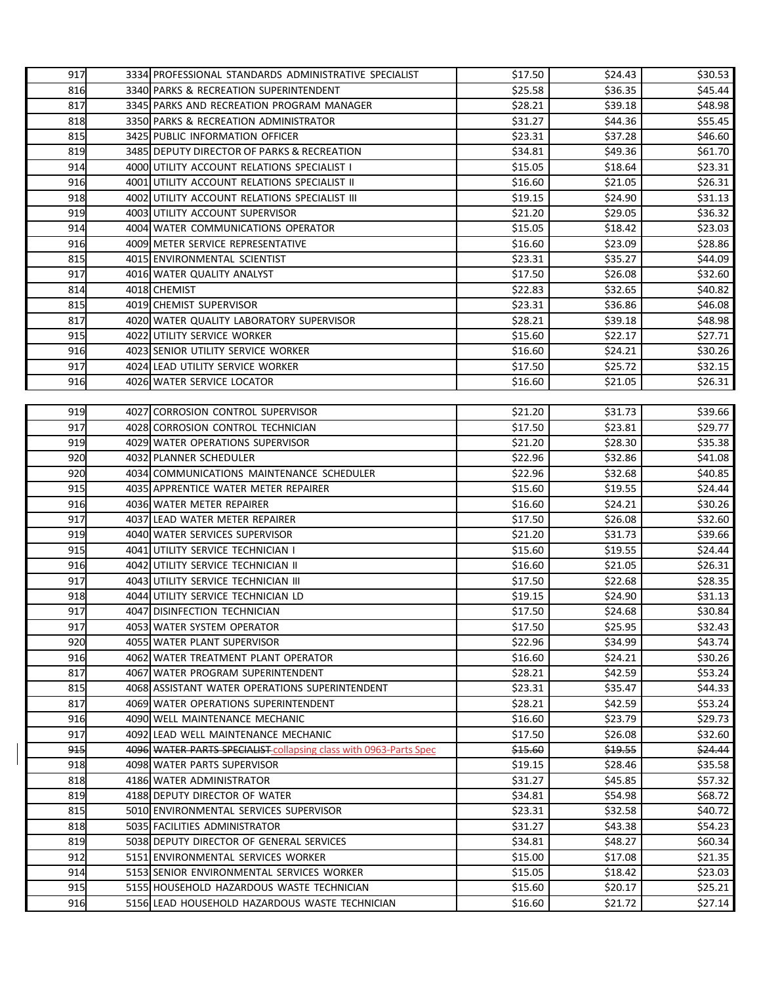| 917        | 3334 PROFESSIONAL STANDARDS ADMINISTRATIVE SPECIALIST                     | \$17.50            | \$24.43            | \$30.53            |
|------------|---------------------------------------------------------------------------|--------------------|--------------------|--------------------|
| 816        | 3340 PARKS & RECREATION SUPERINTENDENT                                    | \$25.58            | \$36.35            | \$45.44            |
| 817        | 3345 PARKS AND RECREATION PROGRAM MANAGER                                 | \$28.21            | \$39.18            | \$48.98            |
| 818        | 3350 PARKS & RECREATION ADMINISTRATOR                                     | \$31.27            | \$44.36            | \$55.45            |
| 815        | 3425 PUBLIC INFORMATION OFFICER                                           | \$23.31            | \$37.28            | \$46.60            |
| 819        | 3485 DEPUTY DIRECTOR OF PARKS & RECREATION                                | \$34.81            | \$49.36            | \$61.70            |
| 914        | 4000 UTILITY ACCOUNT RELATIONS SPECIALIST I                               | \$15.05            | \$18.64            | \$23.31            |
| 916        | 4001 UTILITY ACCOUNT RELATIONS SPECIALIST II                              | \$16.60            | \$21.05            | \$26.31            |
| 918        | 4002 UTILITY ACCOUNT RELATIONS SPECIALIST III                             | \$19.15            | \$24.90            | \$31.13            |
| 919        | 4003 UTILITY ACCOUNT SUPERVISOR                                           | \$21.20            | \$29.05            | \$36.32            |
| 914        | 4004 WATER COMMUNICATIONS OPERATOR                                        | \$15.05            | \$18.42            | \$23.03            |
| 916        | 4009 METER SERVICE REPRESENTATIVE                                         | \$16.60            | \$23.09            | \$28.86            |
| 815        | 4015 ENVIRONMENTAL SCIENTIST                                              | \$23.31            | \$35.27            | \$44.09            |
| 917        | 4016 WATER QUALITY ANALYST                                                | \$17.50            | \$26.08            | \$32.60            |
| 814        | 4018 CHEMIST                                                              | \$22.83            | \$32.65            | \$40.82            |
| 815        | 4019 CHEMIST SUPERVISOR                                                   | \$23.31            | \$36.86            | \$46.08            |
| 817        | 4020 WATER QUALITY LABORATORY SUPERVISOR                                  | \$28.21            | \$39.18            | \$48.98            |
| 915        | 4022 UTILITY SERVICE WORKER                                               | \$15.60            | \$22.17            | \$27.71            |
| 916        | 4023 SENIOR UTILITY SERVICE WORKER                                        | \$16.60            | \$24.21            | \$30.26            |
| 917        | 4024 LEAD UTILITY SERVICE WORKER                                          | \$17.50            | \$25.72            | \$32.15            |
| 916        | 4026 WATER SERVICE LOCATOR                                                | \$16.60            | \$21.05            | \$26.31            |
|            |                                                                           |                    |                    |                    |
| 919        | 4027 CORROSION CONTROL SUPERVISOR                                         | \$21.20            | \$31.73            | \$39.66            |
| 917        | 4028 CORROSION CONTROL TECHNICIAN                                         | \$17.50            | \$23.81            | \$29.77            |
| 919        | 4029 WATER OPERATIONS SUPERVISOR                                          | \$21.20            | \$28.30            | \$35.38            |
| 920        | 4032 PLANNER SCHEDULER                                                    | \$22.96            | \$32.86            | \$41.08            |
| 920        | 4034 COMMUNICATIONS MAINTENANCE SCHEDULER                                 | \$22.96            | \$32.68            | \$40.85            |
| 915        | 4035 APPRENTICE WATER METER REPAIRER                                      | \$15.60            | \$19.55            | \$24.44            |
| 916        | 4036 WATER METER REPAIRER                                                 | \$16.60            | \$24.21            | \$30.26            |
| 917        | 4037 LEAD WATER METER REPAIRER                                            | \$17.50            | \$26.08            | \$32.60            |
| 919        | 4040 WATER SERVICES SUPERVISOR                                            | \$21.20            | \$31.73            | \$39.66            |
| 915        | 4041 UTILITY SERVICE TECHNICIAN I                                         | \$15.60            | \$19.55            | \$24.44            |
|            |                                                                           | \$16.60            |                    |                    |
| 916<br>917 | 4042 UTILITY SERVICE TECHNICIAN II                                        |                    | \$21.05            | \$26.31            |
| 918        | 4043 UTILITY SERVICE TECHNICIAN III<br>4044 UTILITY SERVICE TECHNICIAN LD | \$17.50            | \$22.68            | \$28.35            |
|            | 4047 DISINFECTION TECHNICIAN                                              | \$19.15            | \$24.90<br>\$24.68 | \$31.13<br>\$30.84 |
| 917<br>917 | 4053 WATER SYSTEM OPERATOR                                                | \$17.50<br>\$17.50 | \$25.95            | \$32.43            |
| 920        |                                                                           | \$22.96            | \$34.99            | \$43.74            |
|            | 4055 WATER PLANT SUPERVISOR                                               |                    |                    |                    |
| 916        | 4062 WATER TREATMENT PLANT OPERATOR                                       | \$16.60            | \$24.21            | \$30.26            |
| 817        | 4067 WATER PROGRAM SUPERINTENDENT                                         | \$28.21            | \$42.59            | \$53.24            |
| 815        | 4068 ASSISTANT WATER OPERATIONS SUPERINTENDENT                            | \$23.31            | \$35.47            | \$44.33            |
| 817        | 4069 WATER OPERATIONS SUPERINTENDENT                                      | \$28.21            | \$42.59            | \$53.24            |
| 916        | 4090 WELL MAINTENANCE MECHANIC                                            | \$16.60            | \$23.79            | \$29.73            |
| 917        | 4092 LEAD WELL MAINTENANCE MECHANIC                                       | \$17.50            | \$26.08            | \$32.60            |
| 915        | 4096 WATER PARTS SPECIALIST collapsing class with 0963-Parts Spec         | \$15.60            | \$19.55            | \$24.44            |
| 918        | 4098 WATER PARTS SUPERVISOR                                               | \$19.15            | \$28.46            | \$35.58            |
| 818        | 4186 WATER ADMINISTRATOR                                                  | \$31.27            | \$45.85            | \$57.32            |
| 819        | 4188 DEPUTY DIRECTOR OF WATER                                             | \$34.81            | \$54.98            | \$68.72            |
| 815        | 5010 ENVIRONMENTAL SERVICES SUPERVISOR                                    | \$23.31            | \$32.58            | \$40.72            |
| 818        | 5035 FACILITIES ADMINISTRATOR                                             | \$31.27            | \$43.38            | \$54.23            |
| 819        | 5038 DEPUTY DIRECTOR OF GENERAL SERVICES                                  | \$34.81            | \$48.27            | \$60.34            |
| 912        | 5151 ENVIRONMENTAL SERVICES WORKER                                        | \$15.00            | \$17.08            | \$21.35            |
| 914        | 5153 SENIOR ENVIRONMENTAL SERVICES WORKER                                 | \$15.05            | \$18.42            | \$23.03            |
| 915        | 5155 HOUSEHOLD HAZARDOUS WASTE TECHNICIAN                                 | \$15.60            | \$20.17            | \$25.21            |
| 916        | 5156 LEAD HOUSEHOLD HAZARDOUS WASTE TECHNICIAN                            | \$16.60            | \$21.72            | \$27.14            |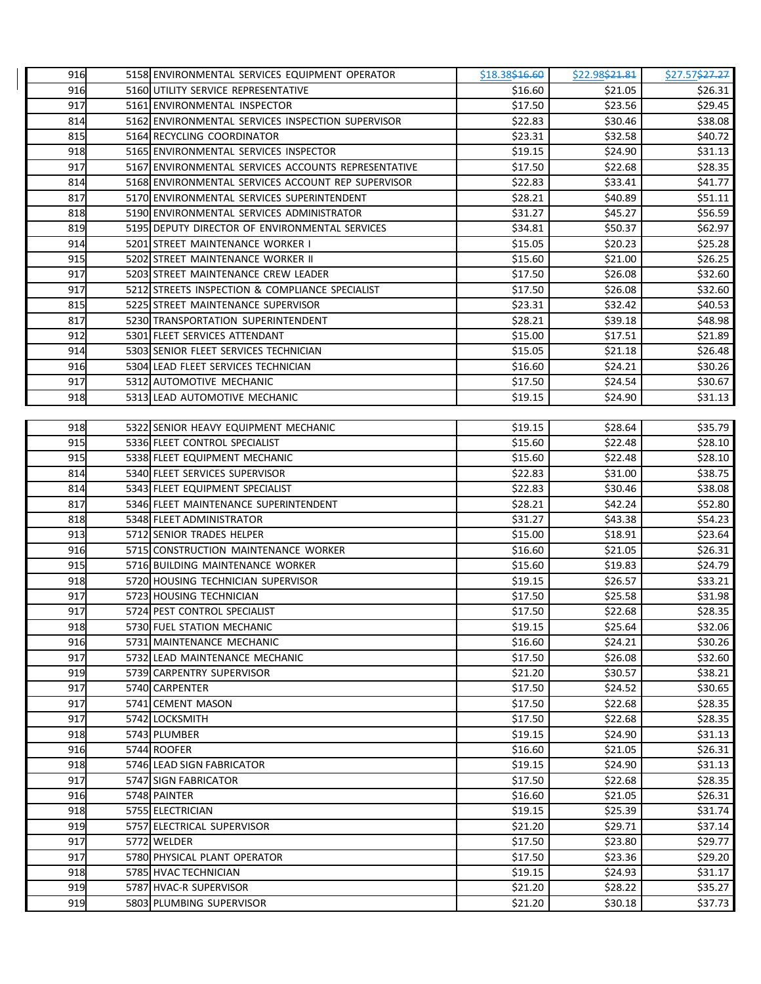| 916 | 5158 ENVIRONMENTAL SERVICES EQUIPMENT OPERATOR      | \$18.38\$16.60 | \$22.98\$21.81 | \$27.57\$27.27 |
|-----|-----------------------------------------------------|----------------|----------------|----------------|
| 916 | 5160 UTILITY SERVICE REPRESENTATIVE                 | \$16.60        | \$21.05        | \$26.31        |
| 917 | 5161 ENVIRONMENTAL INSPECTOR                        | \$17.50        | \$23.56        | \$29.45        |
| 814 | 5162 ENVIRONMENTAL SERVICES INSPECTION SUPERVISOR   | \$22.83        | \$30.46        | \$38.08        |
| 815 | 5164 RECYCLING COORDINATOR                          | \$23.31        | \$32.58        | \$40.72        |
| 918 | 5165 ENVIRONMENTAL SERVICES INSPECTOR               | \$19.15        | \$24.90        | \$31.13        |
| 917 | 5167 ENVIRONMENTAL SERVICES ACCOUNTS REPRESENTATIVE | \$17.50        | \$22.68        | \$28.35        |
| 814 | 5168 ENVIRONMENTAL SERVICES ACCOUNT REP SUPERVISOR  | \$22.83        | \$33.41        | \$41.77        |
| 817 | 5170 ENVIRONMENTAL SERVICES SUPERINTENDENT          | \$28.21        | \$40.89        | \$51.11        |
| 818 | 5190 ENVIRONMENTAL SERVICES ADMINISTRATOR           | \$31.27        | \$45.27        | \$56.59        |
| 819 | 5195 DEPUTY DIRECTOR OF ENVIRONMENTAL SERVICES      | \$34.81        | \$50.37        | \$62.97        |
| 914 | 5201 STREET MAINTENANCE WORKER I                    | \$15.05        | \$20.23        | \$25.28        |
| 915 | 5202 STREET MAINTENANCE WORKER II                   | \$15.60        | \$21.00        | \$26.25        |
| 917 | 5203 STREET MAINTENANCE CREW LEADER                 | \$17.50        | \$26.08        | \$32.60        |
| 917 | 5212 STREETS INSPECTION & COMPLIANCE SPECIALIST     | \$17.50        | \$26.08        | \$32.60        |
| 815 | 5225 STREET MAINTENANCE SUPERVISOR                  | \$23.31        | \$32.42        | \$40.53        |
| 817 | 5230 TRANSPORTATION SUPERINTENDENT                  | \$28.21        | \$39.18        | \$48.98        |
| 912 | 5301 FLEET SERVICES ATTENDANT                       | \$15.00        | \$17.51        | \$21.89        |
| 914 | 5303 SENIOR FLEET SERVICES TECHNICIAN               | \$15.05        | \$21.18        | \$26.48        |
| 916 | 5304 LEAD FLEET SERVICES TECHNICIAN                 | \$16.60        | \$24.21        | \$30.26        |
| 917 | 5312 AUTOMOTIVE MECHANIC                            | \$17.50        | \$24.54        | \$30.67        |
| 918 | 5313 LEAD AUTOMOTIVE MECHANIC                       | \$19.15        | \$24.90        | \$31.13        |
|     |                                                     |                |                |                |
| 918 | 5322 SENIOR HEAVY EQUIPMENT MECHANIC                | \$19.15        | \$28.64        | \$35.79        |
| 915 | 5336 FLEET CONTROL SPECIALIST                       | \$15.60        | \$22.48        | \$28.10        |
| 915 | 5338 FLEET EQUIPMENT MECHANIC                       | \$15.60        | \$22.48        | \$28.10        |
| 814 | 5340 FLEET SERVICES SUPERVISOR                      | \$22.83        | \$31.00        | \$38.75        |
| 814 | 5343 FLEET EQUIPMENT SPECIALIST                     | \$22.83        | \$30.46        | \$38.08        |
| 817 | 5346 FLEET MAINTENANCE SUPERINTENDENT               | \$28.21        | \$42.24        | \$52.80        |
| 818 | 5348 FLEET ADMINISTRATOR                            | \$31.27        | \$43.38        | \$54.23        |
| 913 | 5712 SENIOR TRADES HELPER                           | \$15.00        | \$18.91        | \$23.64        |
| 916 | 5715 CONSTRUCTION MAINTENANCE WORKER                | \$16.60        | \$21.05        | \$26.31        |
| 915 | 5716 BUILDING MAINTENANCE WORKER                    | \$15.60        | \$19.83        | \$24.79        |
| 918 | 5720 HOUSING TECHNICIAN SUPERVISOR                  | \$19.15        | \$26.57        | \$33.21        |
| 917 | 5723 HOUSING TECHNICIAN                             | \$17.50        | \$25.58        | \$31.98        |
| 917 | 5724 PEST CONTROL SPECIALIST                        | \$17.50        | \$22.68        | \$28.35        |
| 918 | 5730 FUEL STATION MECHANIC                          | \$19.15        | \$25.64        | \$32.06        |
| 916 | 5731 MAINTENANCE MECHANIC                           | \$16.60        | \$24.21        | \$30.26        |
| 917 | 5732 LEAD MAINTENANCE MECHANIC                      | \$17.50        | \$26.08        | \$32.60        |
| 919 | 5739 CARPENTRY SUPERVISOR                           | \$21.20        | \$30.57        | \$38.21        |
| 917 | 5740 CARPENTER                                      | \$17.50        | \$24.52        | \$30.65        |
| 917 | 5741 CEMENT MASON                                   | \$17.50        | \$22.68        | \$28.35        |
| 917 | 5742 LOCKSMITH                                      | \$17.50        | \$22.68        | \$28.35        |
| 918 | 5743 PLUMBER                                        | \$19.15        | \$24.90        | \$31.13        |
| 916 | 5744 ROOFER                                         | \$16.60        | \$21.05        | \$26.31        |
| 918 | 5746 LEAD SIGN FABRICATOR                           | \$19.15        | \$24.90        | \$31.13        |
| 917 | 5747 SIGN FABRICATOR                                | \$17.50        | \$22.68        | \$28.35        |
| 916 | 5748 PAINTER                                        | \$16.60        | \$21.05        | \$26.31        |
| 918 | 5755 ELECTRICIAN                                    | \$19.15        | \$25.39        | \$31.74        |
| 919 | 5757 ELECTRICAL SUPERVISOR                          | \$21.20        | \$29.71        | \$37.14        |
| 917 | 5772 WELDER                                         | \$17.50        | \$23.80        | \$29.77        |
| 917 | 5780 PHYSICAL PLANT OPERATOR                        | \$17.50        | \$23.36        | \$29.20        |
| 918 | 5785 HVAC TECHNICIAN                                | \$19.15        | \$24.93        | \$31.17        |
| 919 | 5787 HVAC-R SUPERVISOR                              | \$21.20        | \$28.22        | \$35.27        |
| 919 | 5803 PLUMBING SUPERVISOR                            | \$21.20        | \$30.18        | \$37.73        |
|     |                                                     |                |                |                |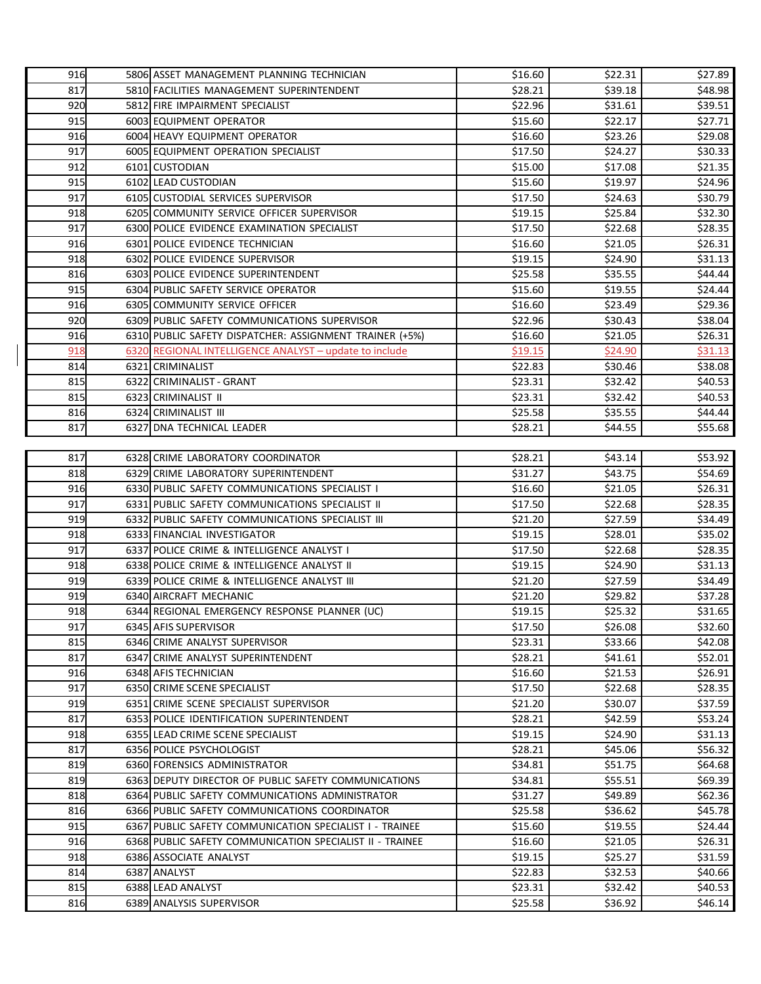| 916 | 5806 ASSET MANAGEMENT PLANNING TECHNICIAN                | \$16.60 | \$22.31 | \$27.89 |
|-----|----------------------------------------------------------|---------|---------|---------|
| 817 | 5810 FACILITIES MANAGEMENT SUPERINTENDENT                | \$28.21 | \$39.18 | \$48.98 |
| 920 | 5812 FIRE IMPAIRMENT SPECIALIST                          | \$22.96 | \$31.61 | \$39.51 |
| 915 | 6003 EQUIPMENT OPERATOR                                  | \$15.60 | \$22.17 | \$27.71 |
| 916 | 6004 HEAVY EQUIPMENT OPERATOR                            | \$16.60 | \$23.26 | \$29.08 |
| 917 | 6005 EQUIPMENT OPERATION SPECIALIST                      | \$17.50 | \$24.27 | \$30.33 |
| 912 | 6101 CUSTODIAN                                           | \$15.00 | \$17.08 | \$21.35 |
| 915 | 6102 LEAD CUSTODIAN                                      | \$15.60 | \$19.97 | \$24.96 |
| 917 | 6105 CUSTODIAL SERVICES SUPERVISOR                       | \$17.50 | \$24.63 | \$30.79 |
| 918 | 6205 COMMUNITY SERVICE OFFICER SUPERVISOR                | \$19.15 | \$25.84 | \$32.30 |
| 917 | <b>6300 POLICE EVIDENCE EXAMINATION SPECIALIST</b>       | \$17.50 | \$22.68 | \$28.35 |
| 916 | 6301 POLICE EVIDENCE TECHNICIAN                          | \$16.60 | \$21.05 | \$26.31 |
| 918 | 6302 POLICE EVIDENCE SUPERVISOR                          | \$19.15 | \$24.90 | \$31.13 |
| 816 | 6303 POLICE EVIDENCE SUPERINTENDENT                      | \$25.58 | \$35.55 | \$44.44 |
| 915 | 6304 PUBLIC SAFETY SERVICE OPERATOR                      | \$15.60 | \$19.55 | \$24.44 |
| 916 | 6305 COMMUNITY SERVICE OFFICER                           | \$16.60 | \$23.49 | \$29.36 |
| 920 | 6309 PUBLIC SAFETY COMMUNICATIONS SUPERVISOR             | \$22.96 | \$30.43 | \$38.04 |
| 916 | 6310 PUBLIC SAFETY DISPATCHER: ASSIGNMENT TRAINER (+5%)  | \$16.60 | \$21.05 | \$26.31 |
| 918 | 6320 REGIONAL INTELLIGENCE ANALYST - update to include   | \$19.15 | \$24.90 | \$31.13 |
| 814 | 6321 CRIMINALIST                                         | \$22.83 | \$30.46 | \$38.08 |
| 815 | 6322 CRIMINALIST - GRANT                                 | \$23.31 | \$32.42 | \$40.53 |
| 815 | 6323 CRIMINALIST II                                      | \$23.31 | \$32.42 | \$40.53 |
| 816 | 6324 CRIMINALIST III                                     | \$25.58 | \$35.55 | \$44.44 |
| 817 | 6327 DNA TECHNICAL LEADER                                | \$28.21 | \$44.55 | \$55.68 |
|     |                                                          |         |         |         |
| 817 | 6328 CRIME LABORATORY COORDINATOR                        | \$28.21 | \$43.14 | \$53.92 |
| 818 | 6329 CRIME LABORATORY SUPERINTENDENT                     | \$31.27 | \$43.75 | \$54.69 |
| 916 | 6330 PUBLIC SAFETY COMMUNICATIONS SPECIALIST I           | \$16.60 | \$21.05 | \$26.31 |
| 917 | 6331 PUBLIC SAFETY COMMUNICATIONS SPECIALIST II          | \$17.50 | \$22.68 | \$28.35 |
| 919 | 6332 PUBLIC SAFETY COMMUNICATIONS SPECIALIST III         | \$21.20 | \$27.59 | \$34.49 |
| 918 | 6333 FINANCIAL INVESTIGATOR                              | \$19.15 | \$28.01 | \$35.02 |
| 917 | 6337 POLICE CRIME & INTELLIGENCE ANALYST I               | \$17.50 | \$22.68 | \$28.35 |
| 918 | 6338 POLICE CRIME & INTELLIGENCE ANALYST II              | \$19.15 | \$24.90 | \$31.13 |
| 919 | 6339 POLICE CRIME & INTELLIGENCE ANALYST III             | \$21.20 | \$27.59 | \$34.49 |
| 919 | 6340 AIRCRAFT MECHANIC                                   | \$21.20 | \$29.82 | \$37.28 |
| 918 | 6344 REGIONAL EMERGENCY RESPONSE PLANNER (UC)            | \$19.15 | \$25.32 | \$31.65 |
| 917 | 6345 AFIS SUPERVISOR                                     | \$17.50 | \$26.08 | \$32.60 |
| 815 | 6346 CRIME ANALYST SUPERVISOR                            | \$23.31 | \$33.66 | \$42.08 |
| 817 | 6347 CRIME ANALYST SUPERINTENDENT                        | \$28.21 | \$41.61 | \$52.01 |
| 916 | 6348 AFIS TECHNICIAN                                     | \$16.60 | \$21.53 | \$26.91 |
| 917 | 6350 CRIME SCENE SPECIALIST                              | \$17.50 | \$22.68 | \$28.35 |
| 919 | 6351 CRIME SCENE SPECIALIST SUPERVISOR                   | \$21.20 | \$30.07 | \$37.59 |
| 817 | 6353 POLICE IDENTIFICATION SUPERINTENDENT                | \$28.21 | \$42.59 | \$53.24 |
| 918 | 6355 LEAD CRIME SCENE SPECIALIST                         | \$19.15 | \$24.90 | \$31.13 |
| 817 | 6356 POLICE PSYCHOLOGIST                                 | \$28.21 | \$45.06 | \$56.32 |
| 819 | 6360 FORENSICS ADMINISTRATOR                             | \$34.81 | \$51.75 | \$64.68 |
| 819 | 6363 DEPUTY DIRECTOR OF PUBLIC SAFETY COMMUNICATIONS     | \$34.81 | \$55.51 | \$69.39 |
| 818 | 6364 PUBLIC SAFETY COMMUNICATIONS ADMINISTRATOR          | \$31.27 | \$49.89 | \$62.36 |
| 816 | 6366 PUBLIC SAFETY COMMUNICATIONS COORDINATOR            | \$25.58 | \$36.62 | \$45.78 |
| 915 | 6367 PUBLIC SAFETY COMMUNICATION SPECIALIST I - TRAINEE  | \$15.60 | \$19.55 | \$24.44 |
| 916 | 6368 PUBLIC SAFETY COMMUNICATION SPECIALIST II - TRAINEE | \$16.60 | \$21.05 | \$26.31 |
| 918 | 6386 ASSOCIATE ANALYST                                   | \$19.15 | \$25.27 | \$31.59 |
| 814 | 6387 ANALYST                                             | \$22.83 | \$32.53 | \$40.66 |
| 815 | 6388 LEAD ANALYST                                        | \$23.31 | \$32.42 | \$40.53 |
| 816 | 6389 ANALYSIS SUPERVISOR                                 | \$25.58 | \$36.92 | \$46.14 |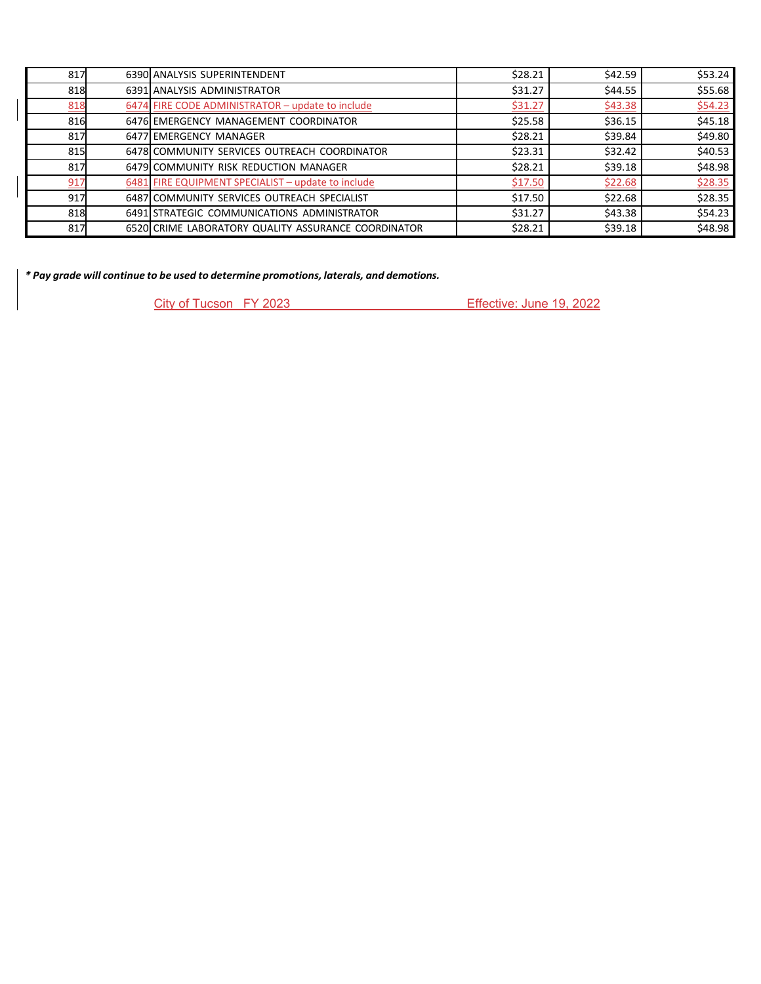| 817 | 6390 ANALYSIS SUPERINTENDENT                        | \$28.21 | \$42.59 | \$53.24 |
|-----|-----------------------------------------------------|---------|---------|---------|
| 818 | 6391 ANALYSIS ADMINISTRATOR                         | \$31.27 | \$44.55 | \$55.68 |
| 818 | 6474 FIRE CODE ADMINISTRATOR - update to include    | \$31.27 | \$43.38 | \$54.23 |
| 816 | 6476 EMERGENCY MANAGEMENT COORDINATOR               | \$25.58 | \$36.15 | \$45.18 |
| 817 | 6477 EMERGENCY MANAGER                              | \$28.21 | \$39.84 | \$49.80 |
| 815 | 6478 COMMUNITY SERVICES OUTREACH COORDINATOR        | \$23.31 | \$32.42 | \$40.53 |
| 817 | 6479 COMMUNITY RISK REDUCTION MANAGER               | \$28.21 | \$39.18 | \$48.98 |
| 917 | 6481 FIRE EQUIPMENT SPECIALIST - update to include  | \$17.50 | \$22.68 | \$28.35 |
| 917 | 6487 COMMUNITY SERVICES OUTREACH SPECIALIST         | \$17.50 | \$22.68 | \$28.35 |
| 818 | 6491 STRATEGIC COMMUNICATIONS ADMINISTRATOR         | \$31.27 | \$43.38 | \$54.23 |
| 817 | 6520 CRIME LABORATORY QUALITY ASSURANCE COORDINATOR | \$28.21 | \$39.18 | \$48.98 |

*\* Pay grade will continue to be used to determine promotions, laterals, and demotions.*

City of Tucson FY 2023 Effective: June 19, 2022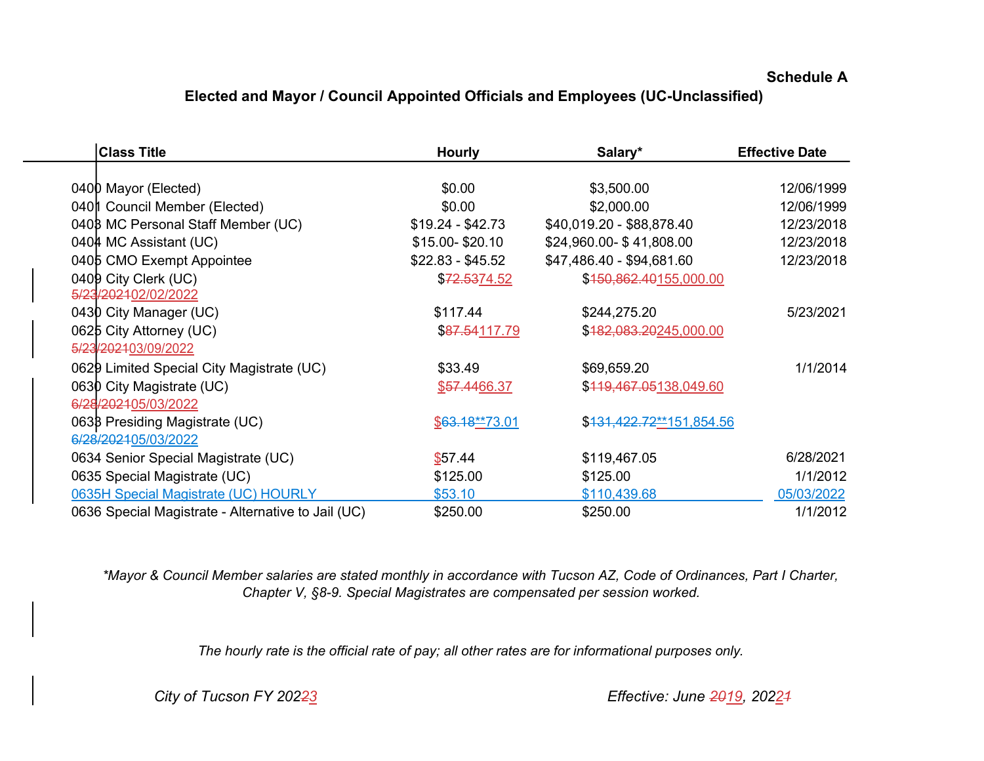#### **Schedule A**

### **Elected and Mayor / Council Appointed Officials and Employees (UC-Unclassified)**

| <b>Class Title</b>                                 | <b>Hourly</b>     | Salary*                             | <b>Effective Date</b> |
|----------------------------------------------------|-------------------|-------------------------------------|-----------------------|
|                                                    |                   |                                     |                       |
| 0400 Mayor (Elected)                               | \$0.00            | \$3,500.00                          | 12/06/1999            |
| 040 <sup>†</sup> Council Member (Elected)          | \$0.00            | \$2,000.00                          | 12/06/1999            |
| 0408 MC Personal Staff Member (UC)                 | $$19.24 - $42.73$ | \$40,019.20 - \$88,878.40           | 12/23/2018            |
| 0404 MC Assistant (UC)                             | $$15.00 - $20.10$ | \$24,960.00-\$41,808.00             | 12/23/2018            |
| 0405 CMO Exempt Appointee                          | $$22.83 - $45.52$ | \$47,486.40 - \$94,681.60           | 12/23/2018            |
| 0409 City Clerk (UC)                               | \$72.5374.52      | \$450,862.40155,000.00              |                       |
| 5/23/202102/02/2022                                |                   |                                     |                       |
| 0430 City Manager (UC)                             | \$117.44          | \$244,275.20                        | 5/23/2021             |
| 0625 City Attorney (UC)                            | \$87.54117.79     | \$182,083.20245,000.00              |                       |
| 5/23/202103/09/2022                                |                   |                                     |                       |
| 0629 Limited Special City Magistrate (UC)          | \$33.49           | \$69,659.20                         | 1/1/2014              |
| 0630 City Magistrate (UC)                          | \$57.4466.37      | \$ <del>119,467.05</del> 138,049.60 |                       |
| 6/28/202105/03/2022                                |                   |                                     |                       |
| 0638 Presiding Magistrate (UC)                     | $$63.18**73.01$   | \$131,422.72**151,854.56            |                       |
| 6/28/202105/03/2022                                |                   |                                     |                       |
| 0634 Senior Special Magistrate (UC)                | \$57.44           | \$119,467.05                        | 6/28/2021             |
| 0635 Special Magistrate (UC)                       | \$125.00          | \$125.00                            | 1/1/2012              |
| 0635H Special Magistrate (UC) HOURLY               | \$53.10           | \$110,439.68                        | 05/03/2022            |
| 0636 Special Magistrate - Alternative to Jail (UC) | \$250.00          | \$250.00                            | 1/1/2012              |

*\*Mayor & Council Member salaries are stated monthly in accordance with Tucson AZ, Code of Ordinances, Part I Charter, Chapter V, §8-9. Special Magistrates are compensated per session worked.* 

*The hourly rate is the official rate of pay; all other rates are for informational purposes only.* 

*City of Tucson FY 20223 Effective: June 2019, 20221*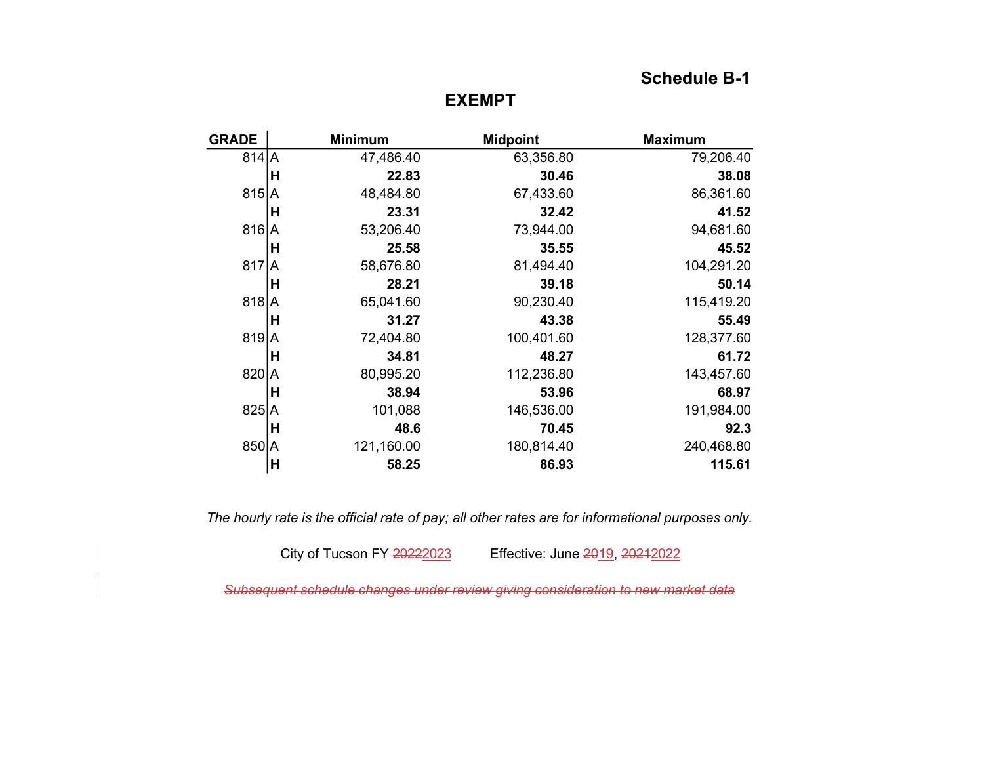### **Schedule B-1**

**EXEMPT** 

| <b>GRADE</b> |   | <b>Minimum</b> | <b>Midpoint</b> | <b>Maximum</b> |
|--------------|---|----------------|-----------------|----------------|
| $814$ A      |   | 47,486.40      | 63,356.80       | 79,206.40      |
|              | Н | 22.83          | 30.46           | 38.08          |
| $815$ $A$    |   | 48,484.80      | 67,433.60       | 86,361.60      |
|              | н | 23.31          | 32.42           | 41.52          |
| $816$ $A$    |   | 53,206.40      | 73,944.00       | 94,681.60      |
|              | Н | 25.58          | 35.55           | 45.52          |
| $817$ $A$    |   | 58,676.80      | 81,494.40       | 104,291.20     |
|              | н | 28.21          | 39.18           | 50.14          |
| $818$ $A$    |   | 65,041.60      | 90,230.40       | 115,419.20     |
|              | н | 31.27          | 43.38           | 55.49          |
| $819$ $A$    |   | 72,404.80      | 100,401.60      | 128,377.60     |
|              | Н | 34.81          | 48.27           | 61.72          |
| 820 A        |   | 80,995.20      | 112,236.80      | 143,457.60     |
|              | Н | 38.94          | 53.96           | 68.97          |
| $825$ $A$    |   | 101,088        | 146,536.00      | 191,984.00     |
|              | Н | 48.6           | 70.45           | 92.3           |
| 850 A        |   | 121,160.00     | 180,814.40      | 240,468.80     |
|              | Н | 58.25          | 86.93           | 115.61         |

*The hourly rate is the official rate of pay; all other rates are for informational purposes only.* 

City of Tucson FY 20222023 Effective: June 2019, 20212022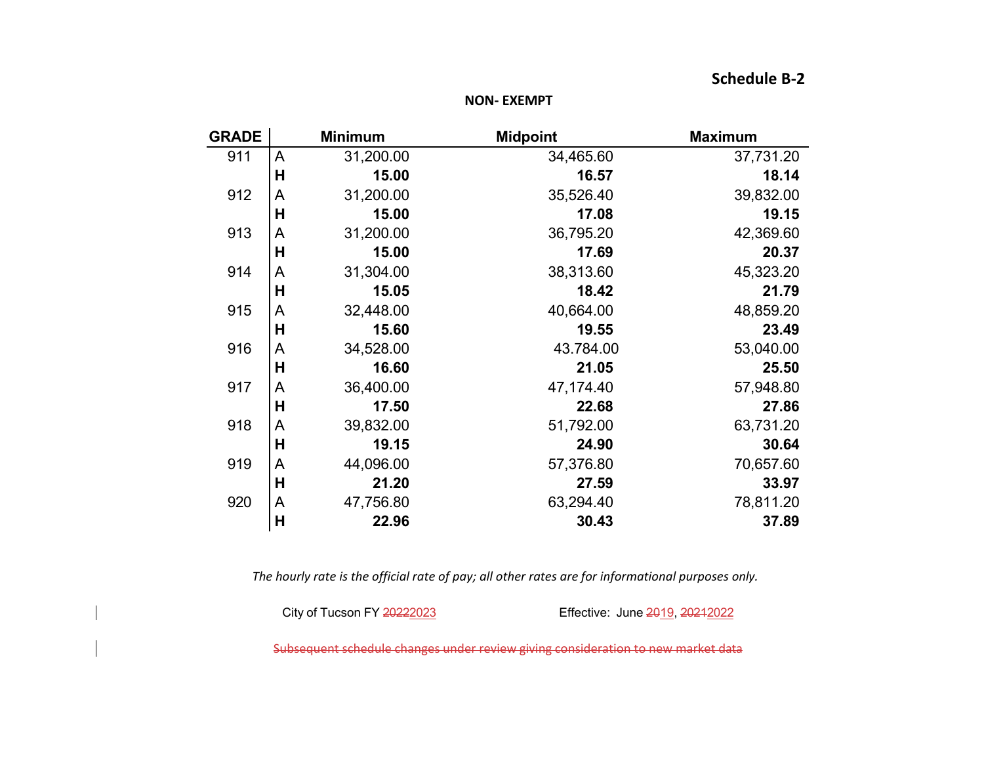#### **Schedule B‐2**

|  | <b>NON-EXEMPT</b> |
|--|-------------------|
|--|-------------------|

| <b>GRADE</b> | <b>Minimum</b> |           | <b>Midpoint</b> | <b>Maximum</b> |  |
|--------------|----------------|-----------|-----------------|----------------|--|
| 911          | A              | 31,200.00 | 34,465.60       | 37,731.20      |  |
|              | Н              | 15.00     | 16.57           | 18.14          |  |
| 912          | A              | 31,200.00 | 35,526.40       | 39,832.00      |  |
|              | Н              | 15.00     | 17.08           | 19.15          |  |
| 913          | A              | 31,200.00 | 36,795.20       | 42,369.60      |  |
|              | H              | 15.00     | 17.69           | 20.37          |  |
| 914          | A              | 31,304.00 | 38,313.60       | 45,323.20      |  |
|              | H              | 15.05     | 18.42           | 21.79          |  |
| 915          | A              | 32,448.00 | 40,664.00       | 48,859.20      |  |
|              | H              | 15.60     | 19.55           | 23.49          |  |
| 916          | A              | 34,528.00 | 43.784.00       | 53,040.00      |  |
|              | Н              | 16.60     | 21.05           | 25.50          |  |
| 917          | A              | 36,400.00 | 47,174.40       | 57,948.80      |  |
|              | H              | 17.50     | 22.68           | 27.86          |  |
| 918          | A              | 39,832.00 | 51,792.00       | 63,731.20      |  |
|              | Н              | 19.15     | 24.90           | 30.64          |  |
| 919          | A              | 44,096.00 | 57,376.80       | 70,657.60      |  |
|              | H              | 21.20     | 27.59           | 33.97          |  |
| 920          | A              | 47,756.80 | 63,294.40       | 78,811.20      |  |
|              | H              | 22.96     | 30.43           | 37.89          |  |

*The hourly rate is the official rate of pay; all other rates are for informational purposes only.*

City of Tucson FY 20222023 Effective: June 2019, 20212022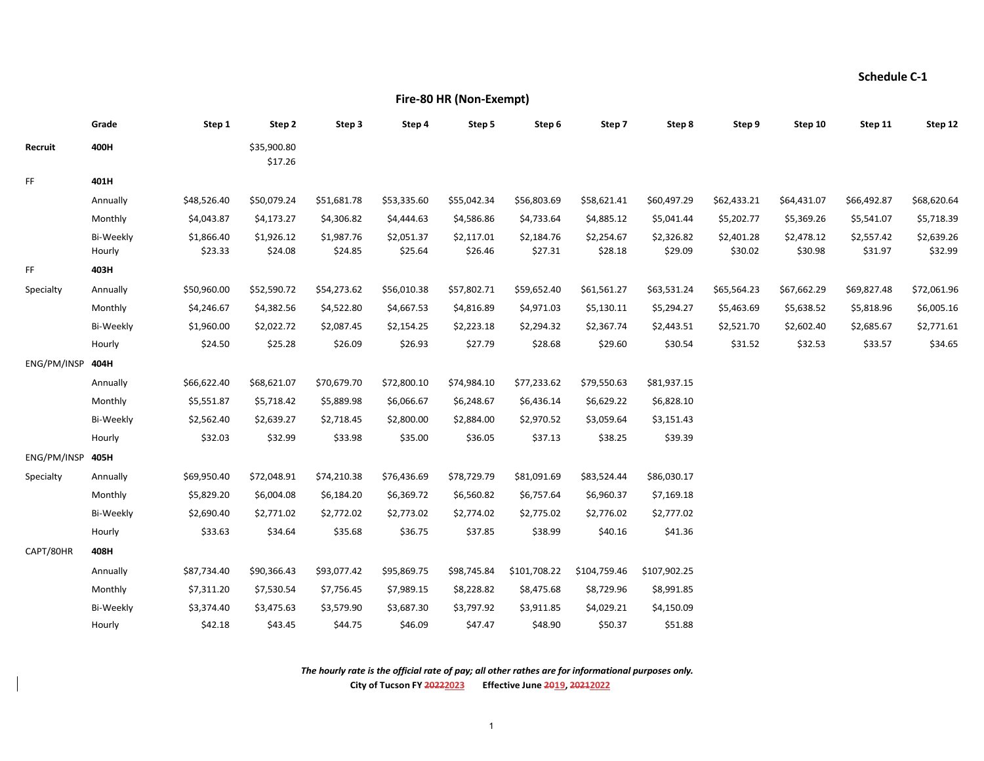#### **Schedule C‐1**

**Fire‐80 HR (Non‐Exempt)**

|             | Grade                      | Step 1                | Step 2                 | Step 3                | Step 4                | Step 5                | Step 6                | Step 7                | Step 8                | Step 9                | Step 10               | Step 11               | Step 12               |
|-------------|----------------------------|-----------------------|------------------------|-----------------------|-----------------------|-----------------------|-----------------------|-----------------------|-----------------------|-----------------------|-----------------------|-----------------------|-----------------------|
| Recruit     | 400H                       |                       | \$35,900.80<br>\$17.26 |                       |                       |                       |                       |                       |                       |                       |                       |                       |                       |
| FF          | 401H                       |                       |                        |                       |                       |                       |                       |                       |                       |                       |                       |                       |                       |
|             | Annually                   | \$48,526.40           | \$50,079.24            | \$51,681.78           | \$53,335.60           | \$55,042.34           | \$56,803.69           | \$58,621.41           | \$60,497.29           | \$62,433.21           | \$64,431.07           | \$66,492.87           | \$68,620.64           |
|             | Monthly                    | \$4,043.87            | \$4,173.27             | \$4,306.82            | \$4,444.63            | \$4,586.86            | \$4,733.64            | \$4,885.12            | \$5,041.44            | \$5,202.77            | \$5,369.26            | \$5,541.07            | \$5,718.39            |
|             | <b>Bi-Weekly</b><br>Hourly | \$1,866.40<br>\$23.33 | \$1,926.12<br>\$24.08  | \$1,987.76<br>\$24.85 | \$2,051.37<br>\$25.64 | \$2,117.01<br>\$26.46 | \$2,184.76<br>\$27.31 | \$2,254.67<br>\$28.18 | \$2,326.82<br>\$29.09 | \$2,401.28<br>\$30.02 | \$2,478.12<br>\$30.98 | \$2,557.42<br>\$31.97 | \$2,639.26<br>\$32.99 |
| FF.         | 403H                       |                       |                        |                       |                       |                       |                       |                       |                       |                       |                       |                       |                       |
| Specialty   | Annually                   | \$50,960.00           | \$52,590.72            | \$54,273.62           | \$56,010.38           | \$57,802.71           | \$59,652.40           | \$61,561.27           | \$63,531.24           | \$65,564.23           | \$67,662.29           | \$69,827.48           | \$72,061.96           |
|             | Monthly                    | \$4,246.67            | \$4,382.56             | \$4,522.80            | \$4,667.53            | \$4,816.89            | \$4,971.03            | \$5,130.11            | \$5,294.27            | \$5,463.69            | \$5,638.52            | \$5,818.96            | \$6,005.16            |
|             | <b>Bi-Weekly</b>           | \$1,960.00            | \$2,022.72             | \$2,087.45            | \$2,154.25            | \$2,223.18            | \$2,294.32            | \$2,367.74            | \$2,443.51            | \$2,521.70            | \$2,602.40            | \$2,685.67            | \$2,771.61            |
|             | Hourly                     | \$24.50               | \$25.28                | \$26.09               | \$26.93               | \$27.79               | \$28.68               | \$29.60               | \$30.54               | \$31.52               | \$32.53               | \$33.57               | \$34.65               |
| ENG/PM/INSP | 404H                       |                       |                        |                       |                       |                       |                       |                       |                       |                       |                       |                       |                       |
|             | Annually                   | \$66,622.40           | \$68,621.07            | \$70,679.70           | \$72,800.10           | \$74,984.10           | \$77,233.62           | \$79,550.63           | \$81,937.15           |                       |                       |                       |                       |
|             | Monthly                    | \$5,551.87            | \$5,718.42             | \$5,889.98            | \$6,066.67            | \$6,248.67            | \$6,436.14            | \$6,629.22            | \$6,828.10            |                       |                       |                       |                       |
|             | <b>Bi-Weekly</b>           | \$2,562.40            | \$2,639.27             | \$2,718.45            | \$2,800.00            | \$2,884.00            | \$2,970.52            | \$3,059.64            | \$3,151.43            |                       |                       |                       |                       |
|             | Hourly                     | \$32.03               | \$32.99                | \$33.98               | \$35.00               | \$36.05               | \$37.13               | \$38.25               | \$39.39               |                       |                       |                       |                       |
| ENG/PM/INSP | 405H                       |                       |                        |                       |                       |                       |                       |                       |                       |                       |                       |                       |                       |
| Specialty   | Annually                   | \$69,950.40           | \$72,048.91            | \$74,210.38           | \$76,436.69           | \$78,729.79           | \$81,091.69           | \$83,524.44           | \$86,030.17           |                       |                       |                       |                       |
|             | Monthly                    | \$5,829.20            | \$6,004.08             | \$6,184.20            | \$6,369.72            | \$6,560.82            | \$6,757.64            | \$6,960.37            | \$7,169.18            |                       |                       |                       |                       |
|             | <b>Bi-Weekly</b>           | \$2,690.40            | \$2,771.02             | \$2,772.02            | \$2,773.02            | \$2,774.02            | \$2,775.02            | \$2,776.02            | \$2,777.02            |                       |                       |                       |                       |
|             | Hourly                     | \$33.63               | \$34.64                | \$35.68               | \$36.75               | \$37.85               | \$38.99               | \$40.16               | \$41.36               |                       |                       |                       |                       |
| CAPT/80HR   | 408H                       |                       |                        |                       |                       |                       |                       |                       |                       |                       |                       |                       |                       |
|             | Annually                   | \$87,734.40           | \$90,366.43            | \$93,077.42           | \$95,869.75           | \$98,745.84           | \$101,708.22          | \$104,759.46          | \$107,902.25          |                       |                       |                       |                       |
|             | Monthly                    | \$7,311.20            | \$7,530.54             | \$7,756.45            | \$7,989.15            | \$8,228.82            | \$8,475.68            | \$8,729.96            | \$8,991.85            |                       |                       |                       |                       |
|             | <b>Bi-Weekly</b>           | \$3,374.40            | \$3,475.63             | \$3,579.90            | \$3,687.30            | \$3,797.92            | \$3,911.85            | \$4,029.21            | \$4,150.09            |                       |                       |                       |                       |
|             | Hourly                     | \$42.18               | \$43.45                | \$44.75               | \$46.09               | \$47.47               | \$48.90               | \$50.37               | \$51.88               |                       |                       |                       |                       |

*The hourly rate is the official rate of pay; all other rathes are for informational purposes only.* **City of Tucson FY 20222023 Effective June 2019, 20212022**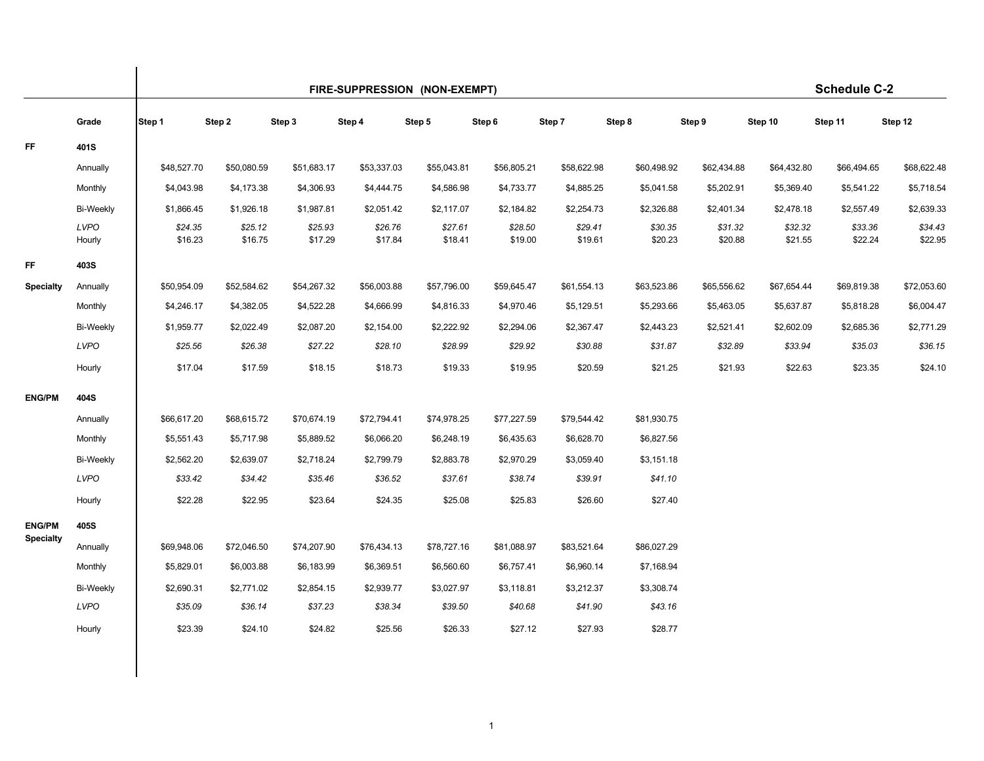|                  |                       |                    |                    |                    | FIRE-SUPPRESSION (NON-EXEMPT) |                    |                    |                    |                    |                    |                    | <b>Schedule C-2</b> |                    |
|------------------|-----------------------|--------------------|--------------------|--------------------|-------------------------------|--------------------|--------------------|--------------------|--------------------|--------------------|--------------------|---------------------|--------------------|
|                  | Grade                 | Step 1             | Step 2             | Step 3             | Step 4                        | Step 5             | Step 6             | Step 7             | Step 8             | Step 9             | Step 10            | Step 11             | Step 12            |
| <b>FF</b>        | 401S                  |                    |                    |                    |                               |                    |                    |                    |                    |                    |                    |                     |                    |
|                  | Annually              | \$48,527.70        | \$50,080.59        | \$51,683.17        | \$53,337.03                   | \$55,043.81        | \$56,805.21        | \$58,622.98        | \$60,498.92        | \$62,434.88        | \$64,432.80        | \$66,494.65         | \$68,622.48        |
|                  | Monthly               | \$4,043.98         | \$4,173.38         | \$4,306.93         | \$4,444.75                    | \$4,586.98         | \$4,733.77         | \$4,885.25         | \$5,041.58         | \$5,202.91         | \$5,369.40         | \$5,541.22          | \$5,718.54         |
|                  | Bi-Weekly             | \$1,866.45         | \$1,926.18         | \$1,987.81         | \$2,051.42                    | \$2,117.07         | \$2,184.82         | \$2,254.73         | \$2,326.88         | \$2,401.34         | \$2,478.18         | \$2,557.49          | \$2,639.33         |
|                  | <b>LVPO</b><br>Hourly | \$24.35<br>\$16.23 | \$25.12<br>\$16.75 | \$25.93<br>\$17.29 | \$26.76<br>\$17.84            | \$27.61<br>\$18.41 | \$28.50<br>\$19.00 | \$29.41<br>\$19.61 | \$30.35<br>\$20.23 | \$31.32<br>\$20.88 | \$32.32<br>\$21.55 | \$33.36<br>\$22.24  | \$34.43<br>\$22.95 |
| <b>FF</b>        | 403S                  |                    |                    |                    |                               |                    |                    |                    |                    |                    |                    |                     |                    |
| <b>Specialty</b> | Annually              | \$50,954.09        | \$52,584.62        | \$54,267.32        | \$56,003.88                   | \$57,796.00        | \$59,645.47        | \$61,554.13        | \$63,523.86        | \$65,556.62        | \$67,654.44        | \$69,819.38         | \$72,053.60        |
|                  | Monthly               | \$4,246.17         | \$4,382.05         | \$4,522.28         | \$4,666.99                    | \$4,816.33         | \$4,970.46         | \$5,129.51         | \$5,293.66         | \$5,463.05         | \$5,637.87         | \$5,818.28          | \$6,004.47         |
|                  | <b>Bi-Weekly</b>      | \$1,959.77         | \$2,022.49         | \$2,087.20         | \$2,154.00                    | \$2,222.92         | \$2,294.06         | \$2,367.47         | \$2,443.23         | \$2,521.41         | \$2,602.09         | \$2,685.36          | \$2,771.29         |
|                  | <b>LVPO</b>           | \$25.56            | \$26.38            | \$27.22            | \$28.10                       | \$28.99            | \$29.92            | \$30.88            | \$31.87            | \$32.89            | \$33.94            | \$35.03             | \$36.15            |
|                  | Hourly                | \$17.04            | \$17.59            | \$18.15            | \$18.73                       | \$19.33            | \$19.95            | \$20.59            | \$21.25            | \$21.93            | \$22.63            | \$23.35             | \$24.10            |
| <b>ENG/PM</b>    | 404S                  |                    |                    |                    |                               |                    |                    |                    |                    |                    |                    |                     |                    |
|                  | Annually              | \$66,617.20        | \$68,615.72        | \$70,674.19        | \$72,794.41                   | \$74,978.25        | \$77,227.59        | \$79,544.42        | \$81,930.75        |                    |                    |                     |                    |
|                  | Monthly               | \$5,551.43         | \$5,717.98         | \$5,889.52         | \$6,066.20                    | \$6,248.19         | \$6,435.63         | \$6,628.70         | \$6,827.56         |                    |                    |                     |                    |
|                  | <b>Bi-Weekly</b>      | \$2,562.20         | \$2,639.07         | \$2,718.24         | \$2,799.79                    | \$2,883.78         | \$2,970.29         | \$3,059.40         | \$3,151.18         |                    |                    |                     |                    |
|                  | <b>LVPO</b>           | \$33.42            | \$34.42            | \$35.46            | \$36.52                       | \$37.61            | \$38.74            | \$39.91            | \$41.10            |                    |                    |                     |                    |
|                  | Hourly                | \$22.28            | \$22.95            | \$23.64            | \$24.35                       | \$25.08            | \$25.83            | \$26.60            | \$27.40            |                    |                    |                     |                    |
| <b>ENG/PM</b>    | 405S                  |                    |                    |                    |                               |                    |                    |                    |                    |                    |                    |                     |                    |
| <b>Specialty</b> | Annually              | \$69,948.06        | \$72,046.50        | \$74,207.90        | \$76,434.13                   | \$78,727.16        | \$81,088.97        | \$83,521.64        | \$86,027.29        |                    |                    |                     |                    |
|                  | Monthly               | \$5,829.01         | \$6,003.88         | \$6,183.99         | \$6,369.51                    | \$6,560.60         | \$6,757.41         | \$6,960.14         | \$7,168.94         |                    |                    |                     |                    |
|                  | <b>Bi-Weekly</b>      | \$2,690.31         | \$2,771.02         | \$2,854.15         | \$2,939.77                    | \$3,027.97         | \$3,118.81         | \$3,212.37         | \$3,308.74         |                    |                    |                     |                    |
|                  | <b>LVPO</b>           | \$35.09            | \$36.14            | \$37.23            | \$38.34                       | \$39.50            | \$40.68            | \$41.90            | \$43.16            |                    |                    |                     |                    |
|                  | Hourly                | \$23.39            | \$24.10            | \$24.82            | \$25.56                       | \$26.33            | \$27.12            | \$27.93            | \$28.77            |                    |                    |                     |                    |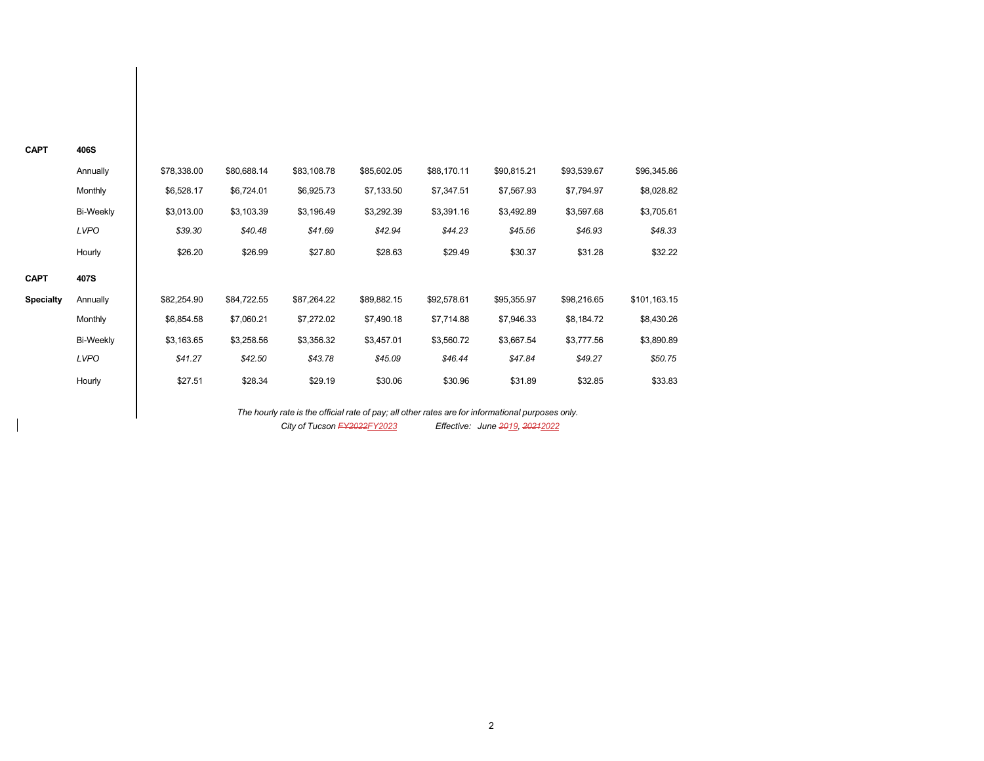| <b>CAPT</b>      | 406S             |             |             |                             |                                                                                                   |             |                                |             |              |
|------------------|------------------|-------------|-------------|-----------------------------|---------------------------------------------------------------------------------------------------|-------------|--------------------------------|-------------|--------------|
|                  | Annually         | \$78,338.00 | \$80,688.14 | \$83,108.78                 | \$85,602.05                                                                                       | \$88,170.11 | \$90,815.21                    | \$93,539.67 | \$96,345.86  |
|                  | Monthly          | \$6,528.17  | \$6,724.01  | \$6,925.73                  | \$7,133.50                                                                                        | \$7,347.51  | \$7,567.93                     | \$7,794.97  | \$8,028.82   |
|                  | <b>Bi-Weekly</b> | \$3,013.00  | \$3,103.39  | \$3,196.49                  | \$3,292.39                                                                                        | \$3,391.16  | \$3,492.89                     | \$3,597.68  | \$3,705.61   |
|                  | <b>LVPO</b>      | \$39.30     | \$40.48     | \$41.69                     | \$42.94                                                                                           | \$44.23     | \$45.56                        | \$46.93     | \$48.33      |
|                  | Hourly           | \$26.20     | \$26.99     | \$27.80                     | \$28.63                                                                                           | \$29.49     | \$30.37                        | \$31.28     | \$32.22      |
| <b>CAPT</b>      | 407S             |             |             |                             |                                                                                                   |             |                                |             |              |
| <b>Specialty</b> | Annually         | \$82,254.90 | \$84,722.55 | \$87,264.22                 | \$89,882.15                                                                                       | \$92,578.61 | \$95,355.97                    | \$98,216.65 | \$101,163.15 |
|                  | Monthly          | \$6,854.58  | \$7,060.21  | \$7,272.02                  | \$7,490.18                                                                                        | \$7,714.88  | \$7,946.33                     | \$8,184.72  | \$8,430.26   |
|                  | <b>Bi-Weekly</b> | \$3,163.65  | \$3,258.56  | \$3,356.32                  | \$3,457.01                                                                                        | \$3,560.72  | \$3,667.54                     | \$3,777.56  | \$3,890.89   |
|                  | <b>LVPO</b>      | \$41.27     | \$42.50     | \$43.78                     | \$45.09                                                                                           | \$46.44     | \$47.84                        | \$49.27     | \$50.75      |
|                  | Hourly           | \$27.51     | \$28.34     | \$29.19                     | \$30.06                                                                                           | \$30.96     | \$31.89                        | \$32.85     | \$33.83      |
|                  |                  |             |             |                             | The hourly rate is the official rate of pay; all other rates are for informational purposes only. |             |                                |             |              |
|                  |                  |             |             | City of Tucson FY2022FY2023 |                                                                                                   |             | Effective: June 2019, 20212022 |             |              |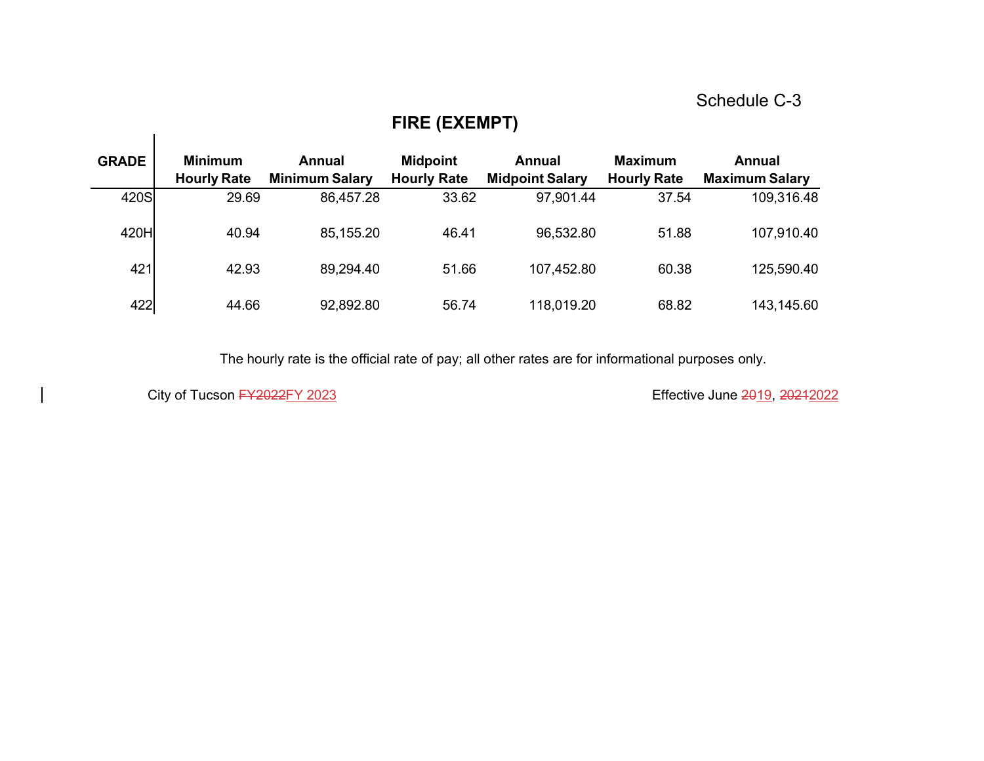## Schedule C-3

# **FIRE (EXEMPT)**

| <b>GRADE</b> | <b>Minimum</b> | Annual<br><b>Minimum Salary</b><br><b>Hourly Rate</b> |       | <b>Midpoint</b><br>Annual<br><b>Hourly Rate</b><br><b>Midpoint Salary</b> |                             | Annual<br><b>Maximum Salary</b> |  |
|--------------|----------------|-------------------------------------------------------|-------|---------------------------------------------------------------------------|-----------------------------|---------------------------------|--|
| 420S         | 29.69          | 86,457.28                                             | 33.62 | 97,901.44                                                                 | <b>Hourly Rate</b><br>37.54 | 109,316.48                      |  |
| 420H         | 40.94          | 85,155.20                                             | 46.41 | 96,532.80                                                                 | 51.88                       | 107,910.40                      |  |
| 421          | 42.93          | 89,294.40                                             | 51.66 | 107,452.80                                                                | 60.38                       | 125,590.40                      |  |
| 422          | 44.66          | 92,892.80                                             | 56.74 | 118,019.20                                                                | 68.82                       | 143,145.60                      |  |

The hourly rate is the official rate of pay; all other rates are for informational purposes only.

 $\overline{\phantom{a}}$ 

City of Tucson EY2022FY 2023 and the City of Tucson EY2022FY 2023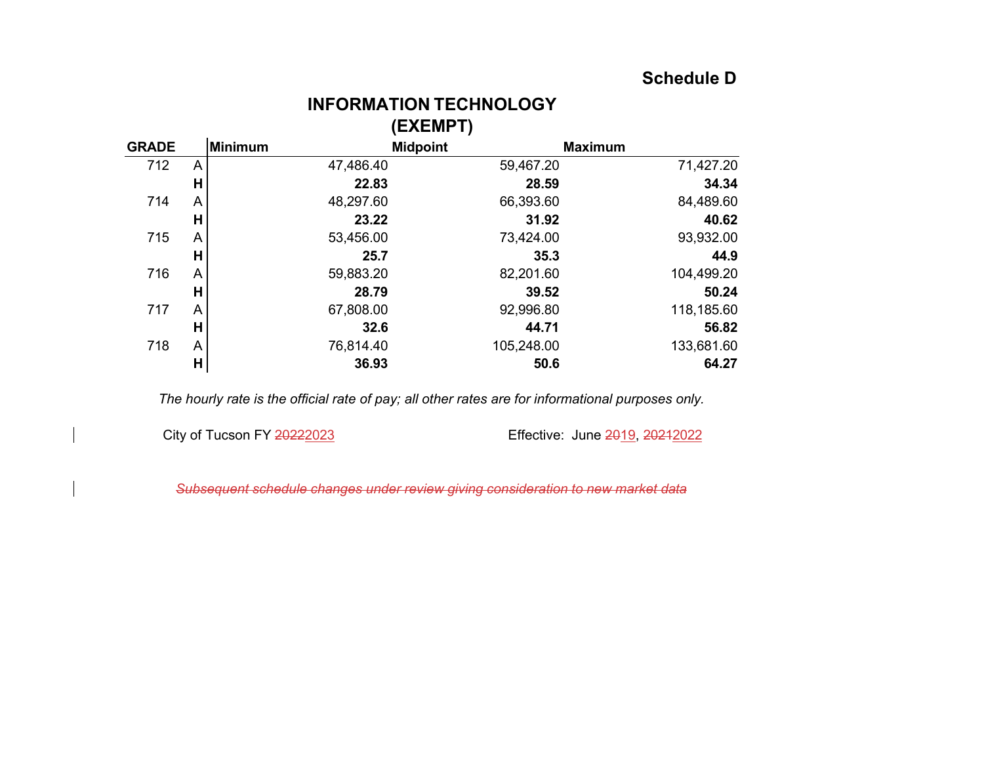# **Schedule D**

## **INFORMATION TECHNOLOGY (EXEMPT)**

| <b>GRADE</b> |   | Minimum | <b>Midpoint</b> | ,          | <b>Maximum</b> |
|--------------|---|---------|-----------------|------------|----------------|
| 712          | A |         | 47,486.40       | 59,467.20  | 71,427.20      |
|              | Н |         | 22.83           | 28.59      | 34.34          |
| 714          | A |         | 48,297.60       | 66,393.60  | 84,489.60      |
|              | Н |         | 23.22           | 31.92      | 40.62          |
| 715          | A |         | 53,456.00       | 73,424.00  | 93,932.00      |
|              | Н |         | 25.7            | 35.3       | 44.9           |
| 716          | A |         | 59,883.20       | 82,201.60  | 104,499.20     |
|              | Н |         | 28.79           | 39.52      | 50.24          |
| 717          | A |         | 67,808.00       | 92,996.80  | 118,185.60     |
|              | Н |         | 32.6            | 44.71      | 56.82          |
| 718          | A |         | 76,814.40       | 105,248.00 | 133,681.60     |
|              | н |         | 36.93           | 50.6       | 64.27          |

*The hourly rate is the official rate of pay; all other rates are for informational purposes only.* 

City of Tucson FY 20222023 **Effective:** June 2019, 20212022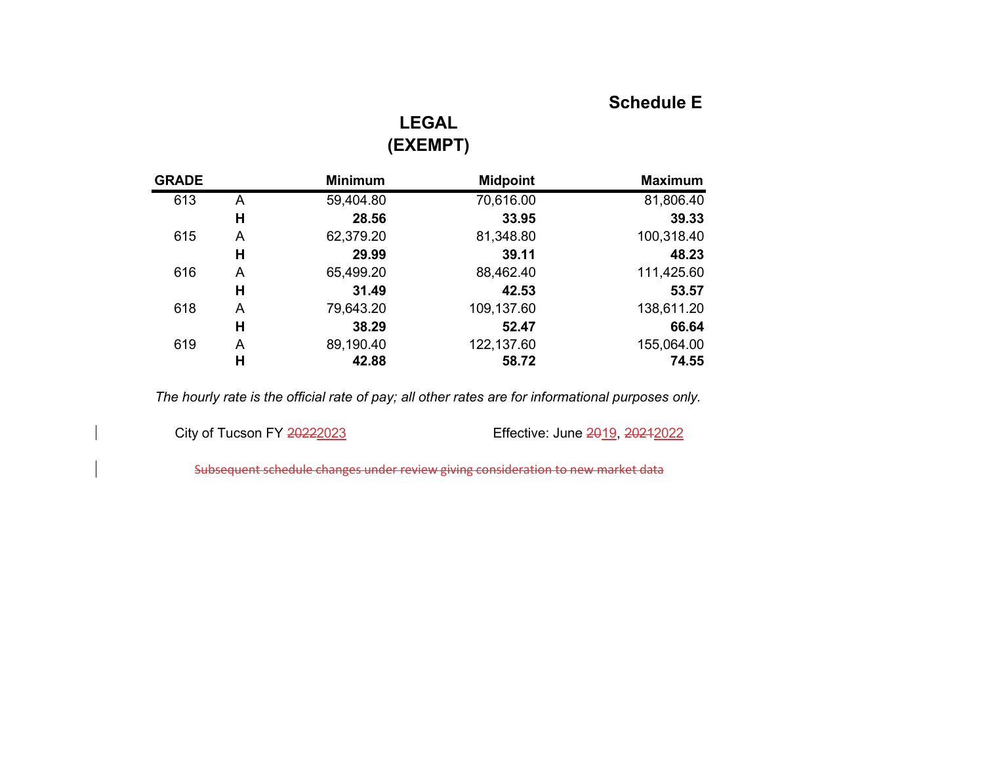# **Schedule E**

# **LEGAL (EXEMPT)**

| <b>GRADE</b> |   | <b>Minimum</b> | <b>Midpoint</b> | <b>Maximum</b> |
|--------------|---|----------------|-----------------|----------------|
| 613          | A | 59,404.80      | 70,616.00       | 81,806.40      |
|              | Н | 28.56          | 33.95           | 39.33          |
| 615          | A | 62,379.20      | 81,348.80       | 100,318.40     |
|              | Н | 29.99          | 39.11           | 48.23          |
| 616          | A | 65,499.20      | 88,462.40       | 111,425.60     |
|              | Н | 31.49          | 42.53           | 53.57          |
| 618          | A | 79,643.20      | 109,137.60      | 138,611.20     |
|              | Н | 38.29          | 52.47           | 66.64          |
| 619          | A | 89,190.40      | 122,137.60      | 155,064.00     |
|              | н | 42.88          | 58.72           | 74.55          |

*The hourly rate is the official rate of pay; all other rates are for informational purposes only.* 

City of Tucson FY 20222023 Effective: June 2019, 20212022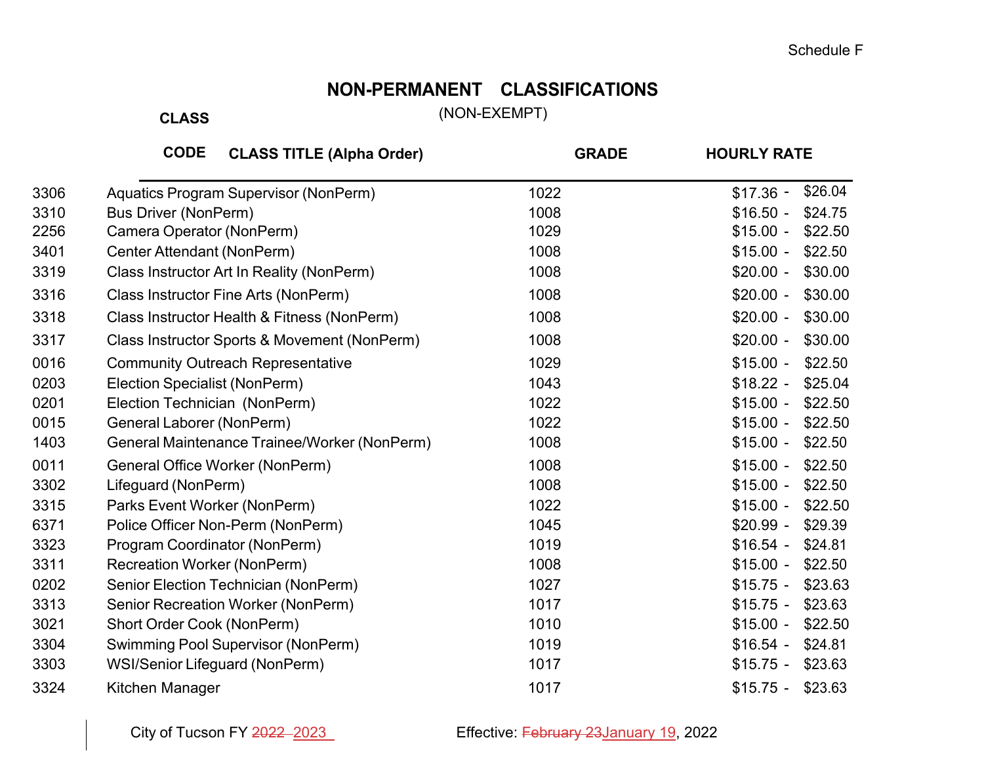# **NON-PERMANENT CLASSIFICATIONS**

**CLASS**

(NON-EXEMPT)

|      | <b>CODE</b><br><b>CLASS TITLE (Alpha Order)</b> | <b>GRADE</b> | <b>HOURLY RATE</b>    |
|------|-------------------------------------------------|--------------|-----------------------|
| 3306 | Aquatics Program Supervisor (NonPerm)           | 1022         | \$26.04<br>$$17.36 -$ |
| 3310 | <b>Bus Driver (NonPerm)</b>                     | 1008         | $$16.50 -$<br>\$24.75 |
| 2256 | Camera Operator (NonPerm)                       | 1029         | $$15.00 -$<br>\$22.50 |
| 3401 | Center Attendant (NonPerm)                      | 1008         | $$15.00 -$<br>\$22.50 |
| 3319 | Class Instructor Art In Reality (NonPerm)       | 1008         | $$20.00 -$<br>\$30.00 |
| 3316 | Class Instructor Fine Arts (NonPerm)            | 1008         | $$20.00 -$<br>\$30.00 |
| 3318 | Class Instructor Health & Fitness (NonPerm)     | 1008         | $$20.00 -$<br>\$30.00 |
| 3317 | Class Instructor Sports & Movement (NonPerm)    | 1008         | $$20.00 -$<br>\$30.00 |
| 0016 | <b>Community Outreach Representative</b>        | 1029         | $$15.00 -$<br>\$22.50 |
| 0203 | Election Specialist (NonPerm)                   | 1043         | $$18.22 -$<br>\$25.04 |
| 0201 | Election Technician (NonPerm)                   | 1022         | $$15.00 -$<br>\$22.50 |
| 0015 | General Laborer (NonPerm)                       | 1022         | $$15.00 -$<br>\$22.50 |
| 1403 | General Maintenance Trainee/Worker (NonPerm)    | 1008         | $$15.00 -$<br>\$22.50 |
| 0011 | General Office Worker (NonPerm)                 | 1008         | $$15.00 -$<br>\$22.50 |
| 3302 | Lifeguard (NonPerm)                             | 1008         | $$15.00 -$<br>\$22.50 |
| 3315 | Parks Event Worker (NonPerm)                    | 1022         | $$15.00 -$<br>\$22.50 |
| 6371 | Police Officer Non-Perm (NonPerm)               | 1045         | $$20.99 -$<br>\$29.39 |
| 3323 | Program Coordinator (NonPerm)                   | 1019         | $$16.54 -$<br>\$24.81 |
| 3311 | Recreation Worker (NonPerm)                     | 1008         | $$15.00 -$<br>\$22.50 |
| 0202 | Senior Election Technician (NonPerm)            | 1027         | $$15.75 -$<br>\$23.63 |
| 3313 | Senior Recreation Worker (NonPerm)              | 1017         | $$15.75 -$<br>\$23.63 |
| 3021 | Short Order Cook (NonPerm)                      | 1010         | $$15.00 -$<br>\$22.50 |
| 3304 | <b>Swimming Pool Supervisor (NonPerm)</b>       | 1019         | $$16.54 -$<br>\$24.81 |
| 3303 | <b>WSI/Senior Lifeguard (NonPerm)</b>           | 1017         | $$15.75 -$<br>\$23.63 |
| 3324 | Kitchen Manager                                 | 1017         | $$15.75 -$<br>\$23.63 |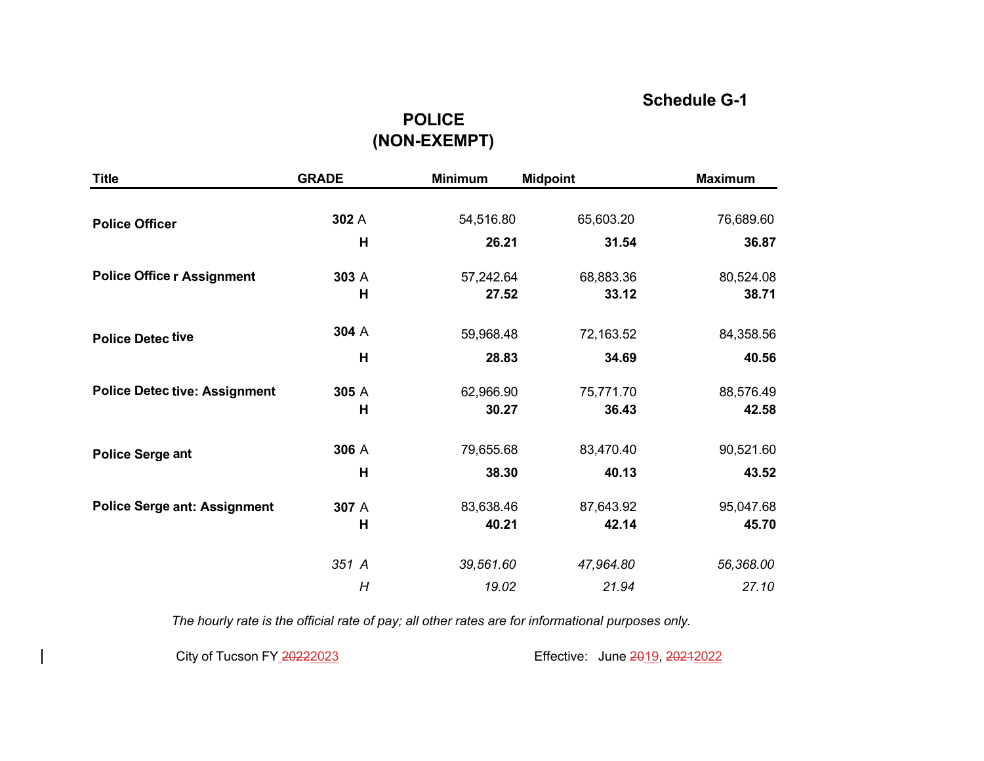#### **Schedule G-1**

# **POLICE (NON-EXEMPT)**

| <b>Title</b>                         | <b>GRADE</b> | <b>Minimum</b> | <b>Midpoint</b> | <b>Maximum</b> |
|--------------------------------------|--------------|----------------|-----------------|----------------|
|                                      |              |                |                 |                |
| <b>Police Officer</b>                | 302 A        | 54,516.80      | 65,603.20       | 76,689.60      |
|                                      | H            | 26.21          | 31.54           | 36.87          |
| <b>Police Office r Assignment</b>    | 303 A        | 57,242.64      | 68,883.36       | 80,524.08      |
|                                      | H            | 27.52          | 33.12           | 38.71          |
| <b>Police Detec tive</b>             | 304 A        | 59,968.48      | 72,163.52       | 84,358.56      |
|                                      | H            | 28.83          | 34.69           | 40.56          |
| <b>Police Detec tive: Assignment</b> | 305 A        | 62,966.90      | 75,771.70       | 88,576.49      |
|                                      | H            | 30.27          | 36.43           | 42.58          |
| <b>Police Serge ant</b>              | 306 A        | 79,655.68      | 83,470.40       | 90,521.60      |
|                                      | H            | 38.30          | 40.13           | 43.52          |
| <b>Police Serge ant: Assignment</b>  | 307 A        | 83,638.46      | 87,643.92       | 95,047.68      |
|                                      | H            | 40.21          | 42.14           | 45.70          |
|                                      | 351 A        | 39,561.60      | 47,964.80       | 56,368.00      |
|                                      | H            | 19.02          | 21.94           | 27.10          |

*The hourly rate is the official rate of pay; all other rates are for informational purposes only.* 

City of Tucson FY 20222023 **Effective:** June 2019, 20212022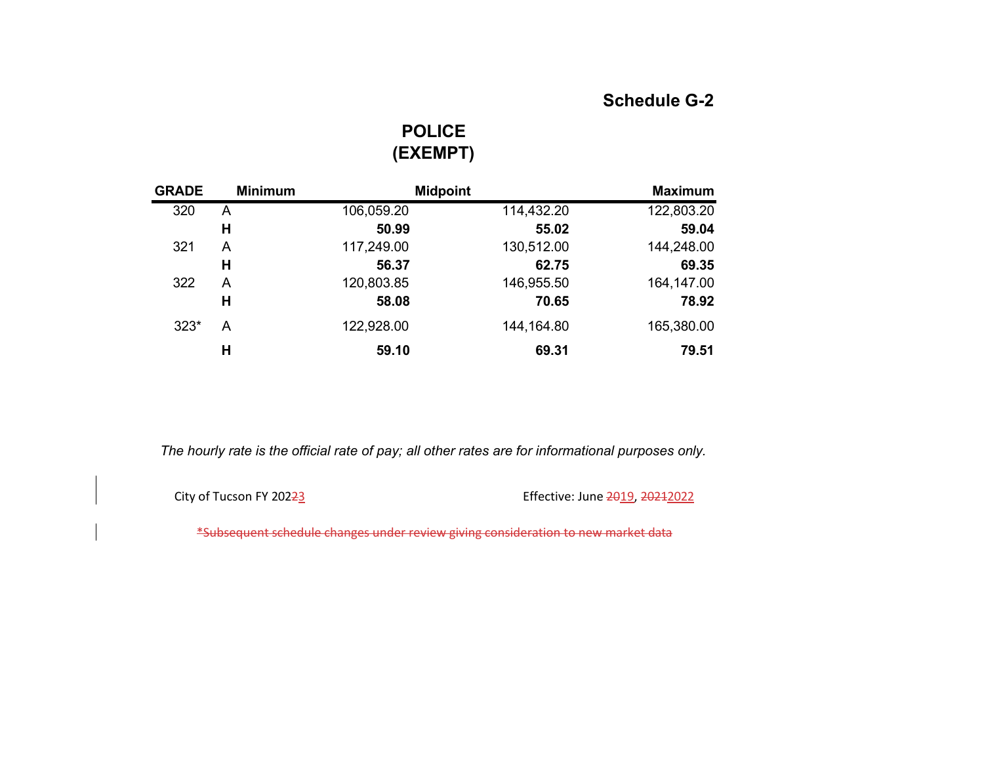#### **Schedule G-2**

# **POLICE (EXEMPT)**

| <b>GRADE</b> | <b>Minimum</b> | <b>Midpoint</b> |            | <b>Maximum</b> |
|--------------|----------------|-----------------|------------|----------------|
| 320          | A              | 106,059.20      | 114,432.20 | 122,803.20     |
|              | н              | 50.99           | 55.02      | 59.04          |
| 321          | A              | 117,249.00      | 130,512.00 | 144,248.00     |
|              | H              | 56.37           | 62.75      | 69.35          |
| 322          | A              | 120,803.85      | 146,955.50 | 164,147.00     |
|              | н              | 58.08           | 70.65      | 78.92          |
| $323*$       | A              | 122,928.00      | 144,164.80 | 165,380.00     |
|              | Н              | 59.10           | 69.31      | 79.51          |

*The hourly rate is the official rate of pay; all other rates are for informational purposes only.* 

City of Tucson FY 20223 2023 2023 Effective: June 2019, 20212022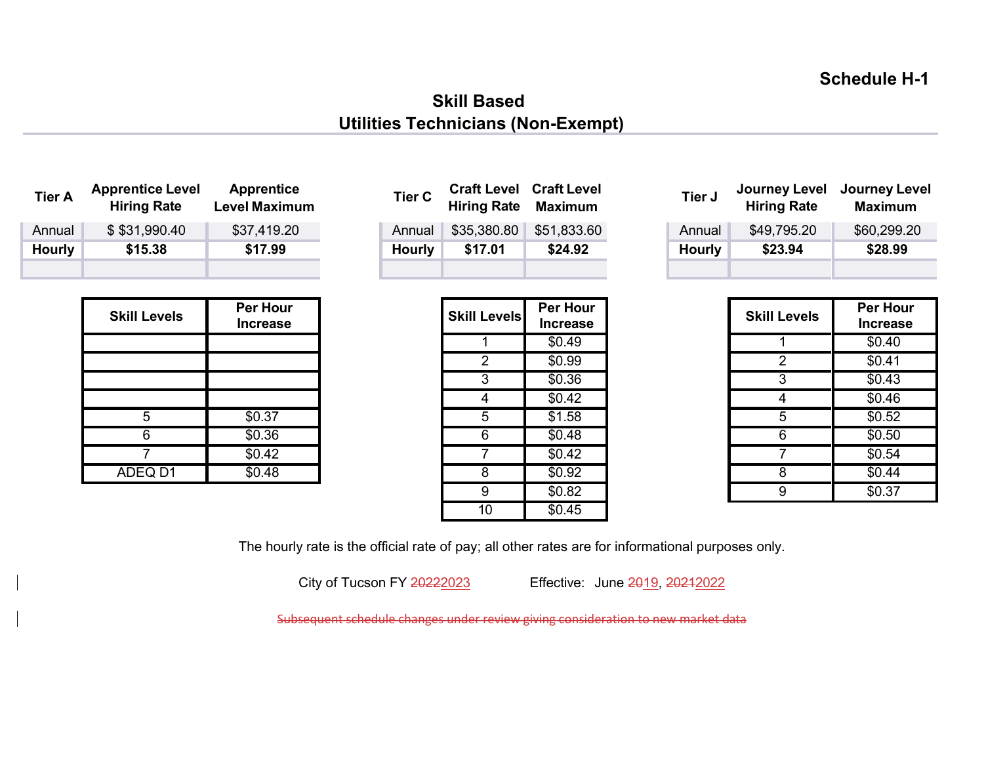# **Schedule H-1**

# **Skill Based Utilities Technicians (Non-Exempt)**

| <b>Tier A</b> | <b>Apprentice Level</b><br><b>Hiring Rate</b> | <b>Apprentice</b><br><b>Level Maximum</b> | <b>Tier C</b> | <b>Craft Level Craft Level</b><br>Hiring Rate Maximum |             | Tier J        | <b>Journey Level</b><br><b>Hiring Rate</b> | Journey Level<br><b>Maximum</b> |
|---------------|-----------------------------------------------|-------------------------------------------|---------------|-------------------------------------------------------|-------------|---------------|--------------------------------------------|---------------------------------|
| Annual        | \$\$31,990.40                                 | \$37,419.20                               | Annual        | \$35,380.80                                           | \$51,833.60 | Annual        | \$49,795.20                                | \$60,299.20                     |
| <b>Hourly</b> | \$15.38                                       | \$17.99                                   | <b>Hourly</b> | \$17.01                                               | \$24.92     | <b>Hourly</b> | \$23.94                                    | \$28.99                         |
|               |                                               |                                           |               |                                                       |             |               |                                            |                                 |

| <b>Skill Levels</b> | <b>Per Hour</b><br><b>Increase</b> |
|---------------------|------------------------------------|
|                     |                                    |
|                     |                                    |
|                     |                                    |
|                     |                                    |
| 5                   | $\sqrt{$0.37}$                     |
| 6                   | \$0.36                             |
|                     | \$0.42                             |
| ADEQ D1             | \$0.48                             |

| <b>Tier C</b> | <b>Hiring Rate Maximum</b> | <b>Craft Level Craft Level</b> |
|---------------|----------------------------|--------------------------------|
| Annual        | \$35,380.80                | \$51,833.60                    |
| <b>Hourly</b> | \$17.01                    | \$24.92                        |
|               |                            |                                |

| <b>Skill Levels</b> | <b>Per Hour</b><br>Increase |
|---------------------|-----------------------------|
| 1                   | $\overline{$}0.49$          |
| $\overline{2}$      | \$0.99                      |
| 3                   | $\overline{$}0.36$          |
| $\overline{4}$      | \$0.42                      |
| $\overline{5}$      | $\overline{$1.58}$          |
| 6                   | \$0.48                      |
| 7                   | \$0.42                      |
| 8                   | \$0.92                      |
| 9                   | $\overline{$}0.82$          |
| 10                  | \$0.45                      |

| Tier J        | <b>Journey Level</b><br><b>Hiring Rate</b> | <b>Journey Level</b><br><b>Maximum</b> |
|---------------|--------------------------------------------|----------------------------------------|
| Annual        | \$49,795.20                                | \$60,299.20                            |
| <b>Hourly</b> | \$23.94                                    | \$28.99                                |
|               |                                            |                                        |

| <b>Skill Levels</b> | Per Hour<br><b>Increase</b> |
|---------------------|-----------------------------|
| 1                   | \$0.40                      |
| 2                   | \$0.41                      |
| 3                   | \$0.43                      |
| Δ.                  | $\overline{$}0.46$          |
| 5                   | \$0.52                      |
| 6                   | \$0.50                      |
|                     | \$0.54                      |
| 8                   | $\overline{$}0.44$          |
| q                   | \$0.37                      |

The hourly rate is the official rate of pay; all other rates are for informational purposes only.

City of Tucson FY 20222023 Effective: June 2019, 20212022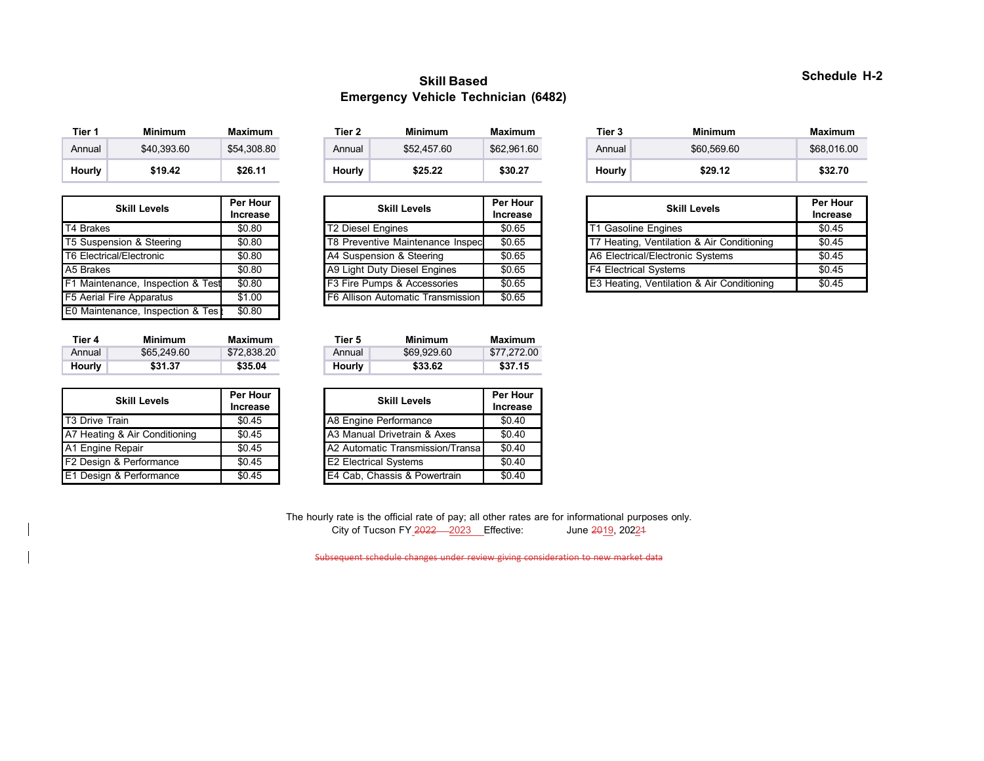#### **Skill Based Emergency Vehicle Technician (6482)**

| Tier 1 | Minimum     | Maximum     |
|--------|-------------|-------------|
| Annual | \$40.393.60 | \$54.308.80 |
| Hourly | \$19.42     | \$26.11     |

| <b>Skill Levels</b>               | Per Hour<br><b>Increase</b> |
|-----------------------------------|-----------------------------|
| T4 Brakes                         | \$0.80                      |
| T5 Suspension & Steering          | \$0.80                      |
| T6 Electrical/Electronic          | \$0.80                      |
| A5 Brakes                         | \$0.80                      |
| F1 Maintenance, Inspection & Test | \$0.80                      |
| F5 Aerial Fire Apparatus          | \$1.00                      |
| E0 Maintenance, Inspection & Tes  | \$0.80                      |

| Tier 4 | Minimum     | Maximum     |
|--------|-------------|-------------|
| Annual | \$65,249.60 | \$72.838.20 |
| Hourly | \$31.37     | \$35.04     |

| <b>Skill Levels</b>                | Per Hour<br><b>Increase</b> |
|------------------------------------|-----------------------------|
| <b>T3</b> Drive Train              | \$0.45                      |
| A7 Heating & Air Conditioning      | \$0.45                      |
| A1 Engine Repair                   | \$0.45                      |
| <b>F2 Design &amp; Performance</b> | \$0.45                      |
| E1 Design & Performance            | \$0.45                      |

| Tier 2 | <b>Minimum</b> | <b>Maximum</b> |
|--------|----------------|----------------|
| Annual | \$52,457.60    | \$62.961.60    |
| Hourly | \$25.22        | \$30.27        |

| <b>Skill Levels</b>                      | <b>Per Hour</b><br><b>Increase</b> |
|------------------------------------------|------------------------------------|
| <b>T2 Diesel Engines</b>                 | \$0.65                             |
| T8 Preventive Maintenance Inspec         | \$0.65                             |
| A4 Suspension & Steering                 | \$0.65                             |
| A9 Light Duty Diesel Engines             | \$0.65                             |
| F3 Fire Pumps & Accessories              | \$0.65                             |
| <b>F6 Allison Automatic Transmission</b> | \$0.65                             |

| Tier 4 | Minimum     | Maximum     | Tier 5 | Minimum     | Maximum     |
|--------|-------------|-------------|--------|-------------|-------------|
| Annual | \$65,249.60 | \$72.838.20 | Annual | \$69.929.60 | \$77.272.00 |
| Hourly | \$31.37     | \$35.04     | Hourly | \$33.62     | \$37.15     |

| <b>Skill Levels</b>              | <b>Per Hour</b><br><b>Increase</b> |
|----------------------------------|------------------------------------|
| A8 Engine Performance            | \$0.40                             |
| A3 Manual Drivetrain & Axes      | \$0.40                             |
| A2 Automatic Transmission/Transa | \$0.40                             |
| <b>E2 Electrical Systems</b>     | \$0.40                             |
| E4 Cab, Chassis & Powertrain     | \$0.40                             |

| Tier   | <b>Minimum</b> | Maximum     | Tier 2 | <b>Minimum</b> | Maximum     | Tier 3 | <b>Minimum</b> | <b>Maximum</b> |
|--------|----------------|-------------|--------|----------------|-------------|--------|----------------|----------------|
| Annual | \$40.393.60    | \$54,308.80 | Annual | \$52,457.60    | \$62.961.60 | Annual | \$60,569.60    | \$68,016.00    |
| Hourly | \$19.42        | \$26.11     | Hourly | \$25.22        | \$30.27     | Hourly | \$29.12        | \$32.70        |

| <b>Skill Levels</b>                        | <b>Per Hour</b><br><b>Increase</b> |
|--------------------------------------------|------------------------------------|
| T1 Gasoline Engines                        | \$0.45                             |
| T7 Heating, Ventilation & Air Conditioning | \$0.45                             |
| A6 Electrical/Electronic Systems           | \$0.45                             |
| <b>F4 Electrical Systems</b>               | \$0.45                             |
| E3 Heating, Ventilation & Air Conditioning | \$0.45                             |

The hourly rate is the official rate of pay; all other rates are for informational purposes only. City of Tucson FY 2022 2023 Effective: June 2019, 20224

Subsequent schedule changes under review giving consideration to new market data

#### **Schedule H-2**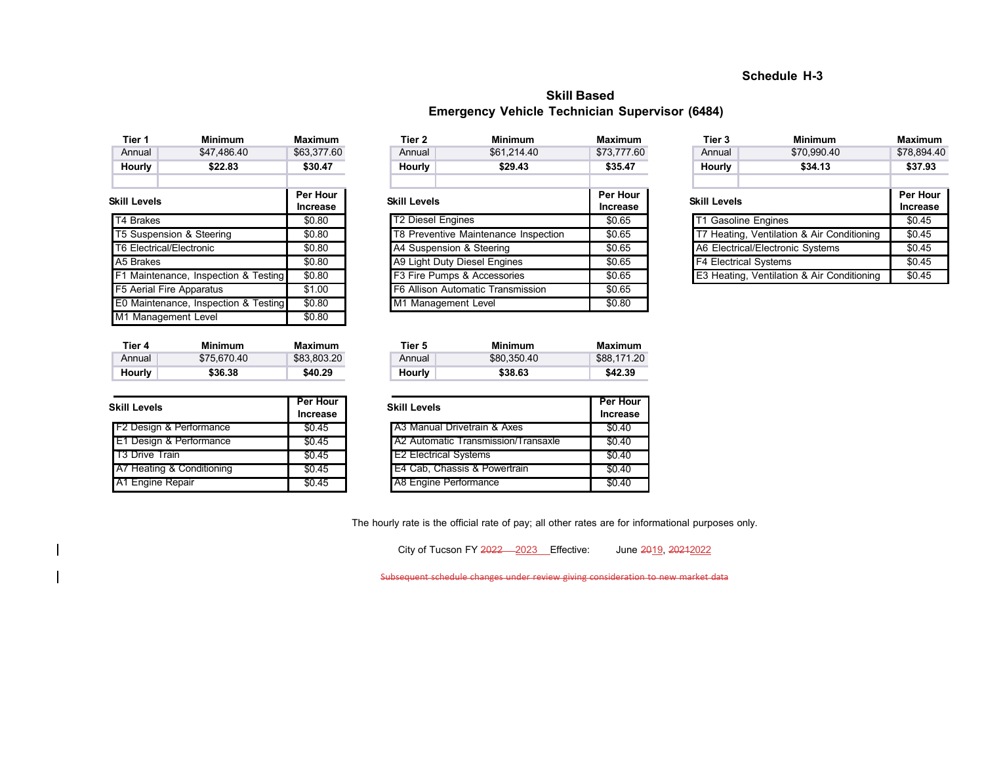#### **Schedule H-3**

#### **Skill BasedEmergency Vehicle Technician Supervisor (6484)**

| Tier 1                               | Minimum                              | Maximum              |  |  |
|--------------------------------------|--------------------------------------|----------------------|--|--|
| Annual                               | \$63,377.60                          |                      |  |  |
| Hourly                               | \$22.83                              | \$30.47              |  |  |
|                                      |                                      |                      |  |  |
| Skill Levels                         |                                      | Per Hour<br>Increase |  |  |
| <b>T4 Brakes</b>                     |                                      | \$0.80               |  |  |
|                                      | T5 Suspension & Steering             | \$0.80               |  |  |
| <b>T6 Electrical/Electronic</b>      | \$0.80                               |                      |  |  |
| A5 Brakes                            | \$0.80                               |                      |  |  |
| F1 Maintenance, Inspection & Testing | \$0.80                               |                      |  |  |
| F5 Aerial Fire Apparatus             | \$1.00                               |                      |  |  |
|                                      | E0 Maintenance, Inspection & Testing | \$0.80               |  |  |
|                                      | M1 Management Level                  | \$0.80               |  |  |
|                                      |                                      |                      |  |  |

| Tier 4 | Minimum     | <b>Maximum</b> |
|--------|-------------|----------------|
| Annual | \$75.670.40 | \$83,803.20    |
| Hourly | \$36.38     | \$40.29        |

| <b>Skill Levels</b>                | Per Hour        | SI |
|------------------------------------|-----------------|----|
|                                    | <b>Increase</b> |    |
| <b>F2 Design &amp; Performance</b> | \$0.45          |    |
| <b>E1 Design &amp; Performance</b> | \$0.45          |    |
| T3 Drive Train                     | \$0.45          |    |
| A7 Heating & Conditioning          | \$0.45          |    |
| A1 Engine Repair                   | \$0.45          |    |

| Tier 1                                         | <b>Minimum</b>                       | <b>Maximum</b>       | Tier 2                      | <b>Minimum</b>                       | <b>Maximum</b>                             | Tier 3                                     | <b>Minimum</b> | <b>Maximum</b>       |
|------------------------------------------------|--------------------------------------|----------------------|-----------------------------|--------------------------------------|--------------------------------------------|--------------------------------------------|----------------|----------------------|
| Annual                                         | \$47,486.40                          | \$63,377.60          | Annual                      | \$61.214.40                          | \$73,777.60                                | Annual                                     | \$70.990.40    | \$78,894.40          |
| Hourly                                         | \$22.83                              | \$30.47              | Hourly                      | \$29.43                              | \$35.47                                    | Hourly                                     | \$34.13        | \$37.93              |
|                                                |                                      |                      |                             |                                      |                                            |                                            |                |                      |
| Skill Levels                                   |                                      | Per Hour<br>Increase |                             | <b>Skill Levels</b>                  |                                            | <b>Skill Levels</b>                        |                | Per Hour<br>Increase |
| T4 Brakes                                      |                                      | \$0.80               | <b>T2 Diesel Engines</b>    |                                      | \$0.65                                     | <b>T1 Gasoline Engines</b>                 |                | \$0.45               |
|                                                | T5 Suspension & Steering             | \$0.80               |                             | T8 Preventive Maintenance Inspection | \$0.65                                     | T7 Heating, Ventilation & Air Conditioning |                | \$0.45               |
|                                                | T6 Electrical/Electronic             | \$0.80               |                             | A4 Suspension & Steering             | \$0.65                                     | A6 Electrical/Electronic Systems           |                | \$0.45               |
| A5 Brakes                                      | \$0.80                               |                      |                             | A9 Light Duty Diesel Engines         |                                            | <b>F4 Electrical Systems</b>               |                | \$0.45               |
| F1 Maintenance, Inspection & Testing<br>\$0.80 |                                      |                      | F3 Fire Pumps & Accessories | \$0.65                               | E3 Heating, Ventilation & Air Conditioning |                                            | \$0.45         |                      |
|                                                | F5 Aerial Fire Apparatus             | \$1.00               |                             | F6 Allison Automatic Transmission    | \$0.65                                     |                                            |                |                      |
|                                                | E0 Maintenance, Inspection & Testing | \$0.80               |                             | M1 Management Level                  | \$0.80                                     |                                            |                |                      |

| Tier 4 | Minimum     | Maximum     | Tier 5 | Minimum     | Maximum     |
|--------|-------------|-------------|--------|-------------|-------------|
| Annual | \$75.670.40 | \$83.803.20 | Annual | \$80.350.40 | \$88.171.20 |
| Hourly | \$36.38     | \$40.29     | Hourly | \$38.63     | \$42.39     |

| <b>Skill Levels</b>                    | <b>Per Hour</b><br>Increase |
|----------------------------------------|-----------------------------|
| <b>A3 Manual Drivetrain &amp; Axes</b> | \$0.40                      |
| A2 Automatic Transmission/Transaxle    | \$0.40                      |
| <b>E2 Electrical Systems</b>           | \$0.40                      |
| E4 Cab, Chassis & Powertrain           | \$0.40                      |
| A8 Engine Performance                  | () 4()                      |

The hourly rate is the official rate of pay; all other rates are for informational purposes only.

City of Tucson FY 2022 2023 Effective: June 2019, 20212022

| Tier 3 | Minimum                                    |         |  |  |  |  |  |
|--------|--------------------------------------------|---------|--|--|--|--|--|
| Annual | \$70,990.40                                |         |  |  |  |  |  |
| Hourly | \$34.13                                    | \$37.93 |  |  |  |  |  |
|        |                                            |         |  |  |  |  |  |
|        | <b>Skill Levels</b>                        |         |  |  |  |  |  |
|        | T1 Gasoline Engines                        |         |  |  |  |  |  |
|        | T7 Heating, Ventilation & Air Conditioning |         |  |  |  |  |  |
|        | A6 Electrical/Electronic Systems           |         |  |  |  |  |  |
|        | <b>F4 Electrical Systems</b>               |         |  |  |  |  |  |
|        | E3 Heating, Ventilation & Air Conditioning | \$0.45  |  |  |  |  |  |